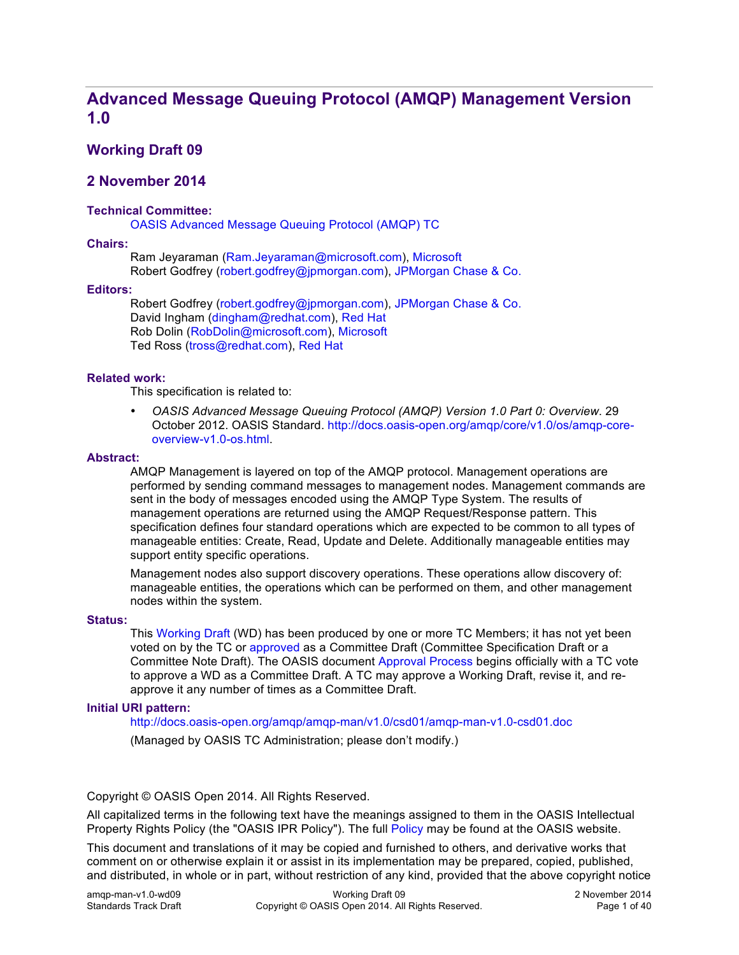## **Advanced Message Queuing Protocol (AMQP) Management Version 1.0**

### **Working Draft 09**

#### **2 November 2014**

#### **Technical Committee:**

OASIS Advanced Message Queuing Protocol (AMQP) TC

#### **Chairs:**

Ram Jeyaraman (Ram.Jeyaraman@microsoft.com), Microsoft Robert Godfrey (robert.godfrey@jpmorgan.com), JPMorgan Chase & Co.

#### **Editors:**

Robert Godfrey (robert.godfrey@jpmorgan.com), JPMorgan Chase & Co. David Ingham (dingham@redhat.com), Red Hat Rob Dolin (RobDolin@microsoft.com), Microsoft Ted Ross (tross@redhat.com), Red Hat

#### **Related work:**

This specification is related to:

• *OASIS Advanced Message Queuing Protocol (AMQP) Version 1.0 Part 0: Overview*. 29 October 2012. OASIS Standard. http://docs.oasis-open.org/amqp/core/v1.0/os/amqp-coreoverview-v1.0-os.html.

#### **Abstract:**

AMQP Management is layered on top of the AMQP protocol. Management operations are performed by sending command messages to management nodes. Management commands are sent in the body of messages encoded using the AMQP Type System. The results of management operations are returned using the AMQP Request/Response pattern. This specification defines four standard operations which are expected to be common to all types of manageable entities: Create, Read, Update and Delete. Additionally manageable entities may support entity specific operations.

Management nodes also support discovery operations. These operations allow discovery of: manageable entities, the operations which can be performed on them, and other management nodes within the system.

#### **Status:**

This Working Draft (WD) has been produced by one or more TC Members; it has not yet been voted on by the TC or approved as a Committee Draft (Committee Specification Draft or a Committee Note Draft). The OASIS document Approval Process begins officially with a TC vote to approve a WD as a Committee Draft. A TC may approve a Working Draft, revise it, and reapprove it any number of times as a Committee Draft.

#### **Initial URI pattern:**

http://docs.oasis-open.org/amqp/amqp-man/v1.0/csd01/amqp-man-v1.0-csd01.doc (Managed by OASIS TC Administration; please don't modify.)

Copyright © OASIS Open 2014. All Rights Reserved.

All capitalized terms in the following text have the meanings assigned to them in the OASIS Intellectual Property Rights Policy (the "OASIS IPR Policy"). The full Policy may be found at the OASIS website.

This document and translations of it may be copied and furnished to others, and derivative works that comment on or otherwise explain it or assist in its implementation may be prepared, copied, published, and distributed, in whole or in part, without restriction of any kind, provided that the above copyright notice

| amgp-man-v1.0-wd09    | Working Draft 09                                  | 2 November 2014 |
|-----------------------|---------------------------------------------------|-----------------|
| Standards Track Draft | Copyright © OASIS Open 2014. All Rights Reserved. | Page 1 of 40    |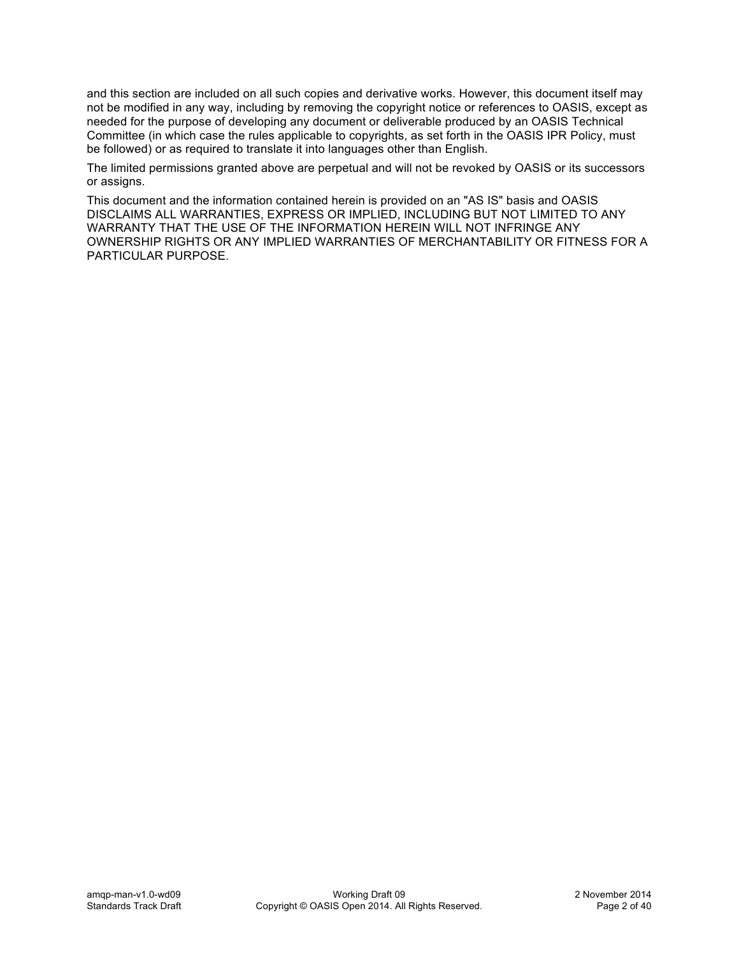and this section are included on all such copies and derivative works. However, this document itself may not be modified in any way, including by removing the copyright notice or references to OASIS, except as needed for the purpose of developing any document or deliverable produced by an OASIS Technical Committee (in which case the rules applicable to copyrights, as set forth in the OASIS IPR Policy, must be followed) or as required to translate it into languages other than English.

The limited permissions granted above are perpetual and will not be revoked by OASIS or its successors or assigns.

This document and the information contained herein is provided on an "AS IS" basis and OASIS DISCLAIMS ALL WARRANTIES, EXPRESS OR IMPLIED, INCLUDING BUT NOT LIMITED TO ANY WARRANTY THAT THE USE OF THE INFORMATION HEREIN WILL NOT INFRINGE ANY OWNERSHIP RIGHTS OR ANY IMPLIED WARRANTIES OF MERCHANTABILITY OR FITNESS FOR A PARTICULAR PURPOSE.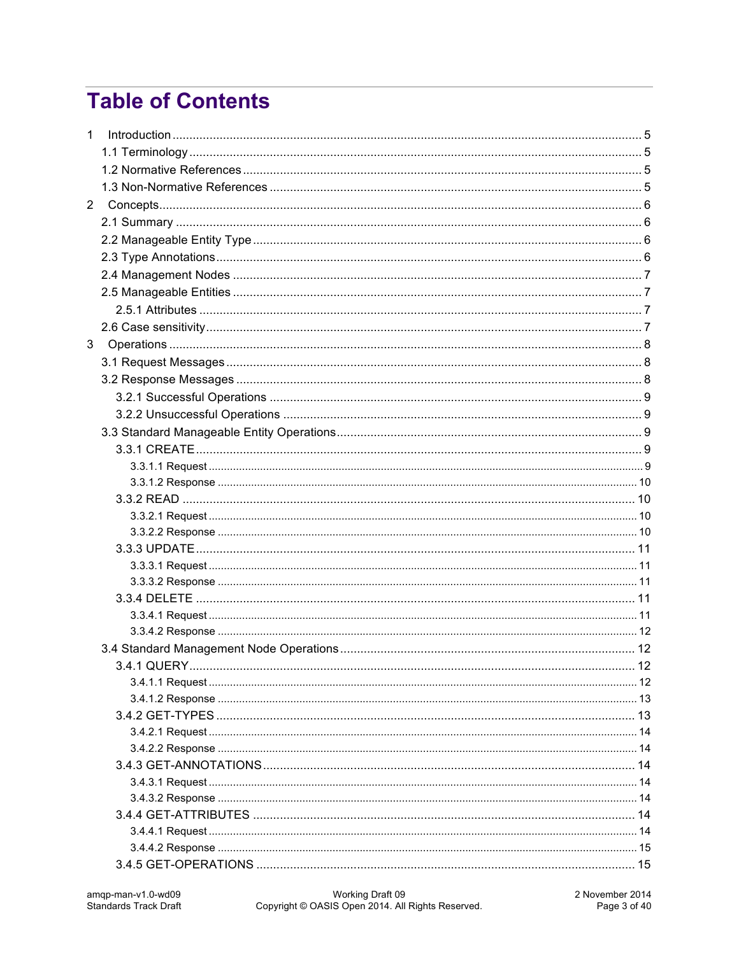# **Table of Contents**

| $\mathbf{1}$   |  |  |
|----------------|--|--|
|                |  |  |
|                |  |  |
|                |  |  |
| 2              |  |  |
|                |  |  |
|                |  |  |
|                |  |  |
|                |  |  |
|                |  |  |
|                |  |  |
|                |  |  |
| 3 <sup>1</sup> |  |  |
|                |  |  |
|                |  |  |
|                |  |  |
|                |  |  |
|                |  |  |
|                |  |  |
|                |  |  |
|                |  |  |
|                |  |  |
|                |  |  |
|                |  |  |
|                |  |  |
|                |  |  |
|                |  |  |
|                |  |  |
|                |  |  |
|                |  |  |
|                |  |  |
|                |  |  |
|                |  |  |
|                |  |  |
|                |  |  |
|                |  |  |
|                |  |  |
|                |  |  |
|                |  |  |
|                |  |  |
|                |  |  |
|                |  |  |
|                |  |  |
|                |  |  |
|                |  |  |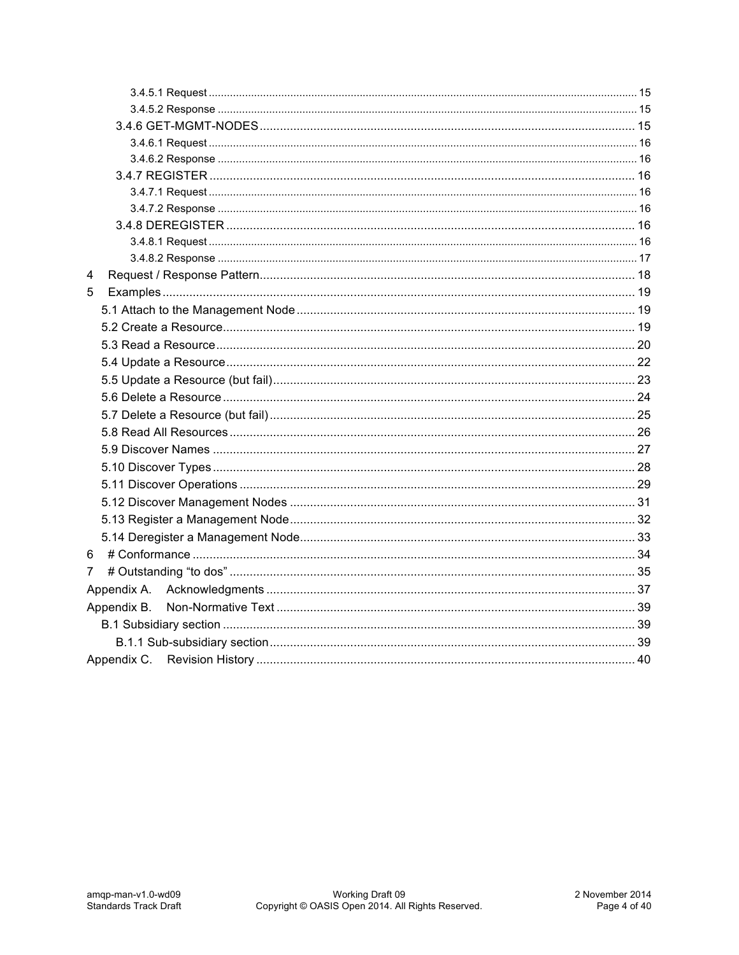| 4           |  |
|-------------|--|
| 5           |  |
|             |  |
|             |  |
|             |  |
|             |  |
|             |  |
|             |  |
|             |  |
|             |  |
|             |  |
|             |  |
|             |  |
|             |  |
|             |  |
|             |  |
| 6           |  |
| 7           |  |
| Appendix A. |  |
| Appendix B. |  |
|             |  |
|             |  |
|             |  |
|             |  |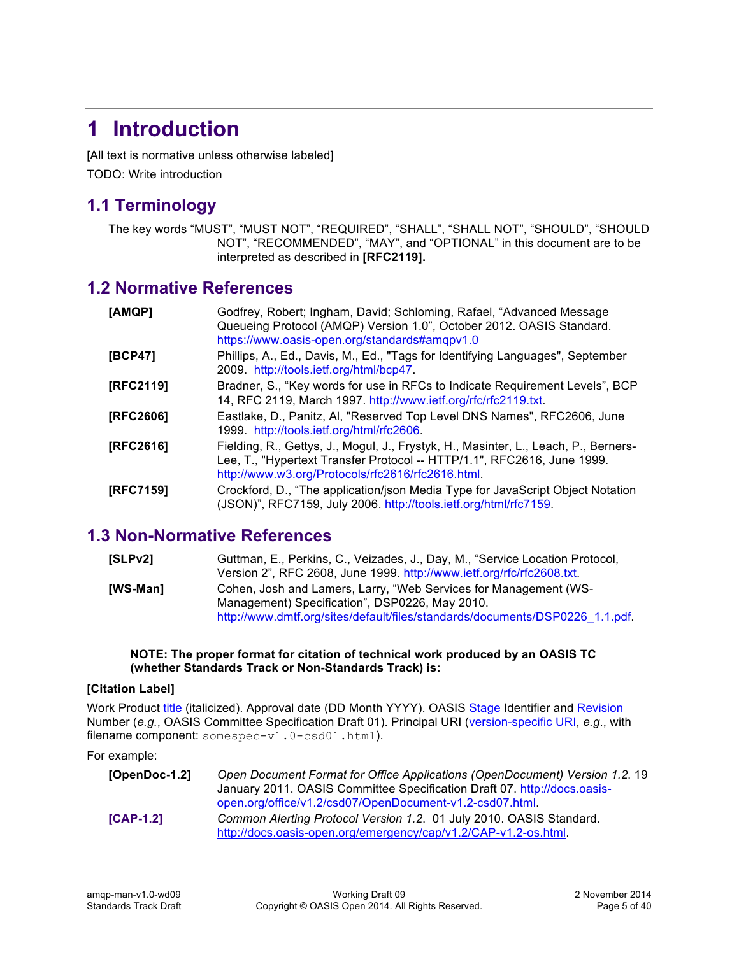# **1 Introduction**

[All text is normative unless otherwise labeled] TODO: Write introduction

## **1.1 Terminology**

The key words "MUST", "MUST NOT", "REQUIRED", "SHALL", "SHALL NOT", "SHOULD", "SHOULD NOT", "RECOMMENDED", "MAY", and "OPTIONAL" in this document are to be interpreted as described in **[RFC2119].**

## **1.2 Normative References**

| [AMQP]    | Godfrey, Robert; Ingham, David; Schloming, Rafael, "Advanced Message<br>Queueing Protocol (AMQP) Version 1.0", October 2012. OASIS Standard.<br>https://www.oasis-open.org/standards#amqpv1.0                       |
|-----------|---------------------------------------------------------------------------------------------------------------------------------------------------------------------------------------------------------------------|
| [BCP47]   | Phillips, A., Ed., Davis, M., Ed., "Tags for Identifying Languages", September<br>2009. http://tools.ietf.org/html/bcp47.                                                                                           |
| [RFC2119] | Bradner, S., "Key words for use in RFCs to Indicate Requirement Levels", BCP<br>14, RFC 2119, March 1997. http://www.ietf.org/rfc/rfc2119.txt.                                                                      |
| [RFC2606] | Eastlake, D., Panitz, AI, "Reserved Top Level DNS Names", RFC2606, June<br>1999. http://tools.ietf.org/html/rfc2606.                                                                                                |
| [RFC2616] | Fielding, R., Gettys, J., Mogul, J., Frystyk, H., Masinter, L., Leach, P., Berners-<br>Lee, T., "Hypertext Transfer Protocol -- HTTP/1.1", RFC2616, June 1999.<br>http://www.w3.org/Protocols/rfc2616/rfc2616.html. |
| [RFC7159] | Crockford, D., "The application/json Media Type for JavaScript Object Notation<br>(JSON)", RFC7159, July 2006. http://tools.ietf.org/html/rfc7159.                                                                  |

## **1.3 Non-Normative References**

| [SLPv2]  | Guttman, E., Perkins, C., Veizades, J., Day, M., "Service Location Protocol, |
|----------|------------------------------------------------------------------------------|
|          | Version 2", RFC 2608, June 1999. http://www.ietf.org/rfc/rfc2608.txt.        |
| [WS-Man] | Cohen, Josh and Lamers, Larry, "Web Services for Management (WS-             |
|          | Management) Specification", DSP0226, May 2010.                               |
|          | http://www.dmtf.org/sites/default/files/standards/documents/DSP0226 1.1.pdf. |

#### **NOTE: The proper format for citation of technical work produced by an OASIS TC (whether Standards Track or Non-Standards Track) is:**

#### **[Citation Label]**

Work Product title (italicized). Approval date (DD Month YYYY). OASIS Stage Identifier and Revision Number (*e.g.*, OASIS Committee Specification Draft 01). Principal URI (version-specific URI, *e.g*., with filename component: somespec-v1.0-csd01.html).

For example:

| [OpenDoc-1.2] | Open Document Format for Office Applications (OpenDocument) Version 1.2. 19<br>January 2011. OASIS Committee Specification Draft 07. http://docs.oasis-<br>open.org/office/v1.2/csd07/OpenDocument-v1.2-csd07.html |
|---------------|--------------------------------------------------------------------------------------------------------------------------------------------------------------------------------------------------------------------|
| $[CAP-1.2]$   | Common Alerting Protocol Version 1.2. 01 July 2010. OASIS Standard.<br>http://docs.oasis-open.org/emergency/cap/v1.2/CAP-v1.2-os.html                                                                              |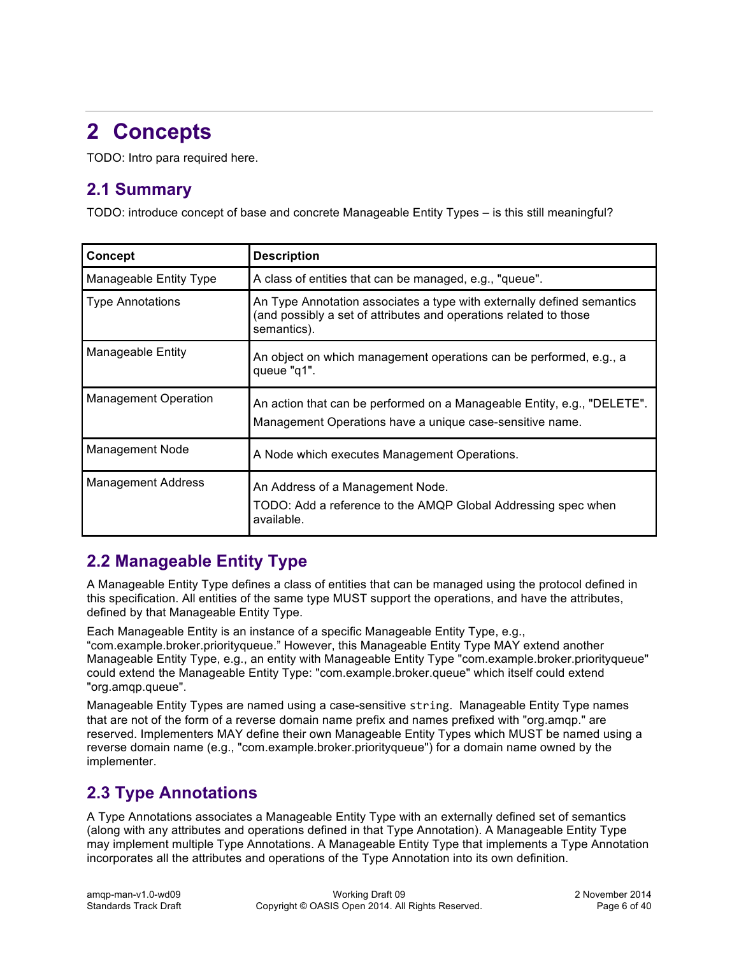# **2 Concepts**

TODO: Intro para required here.

## **2.1 Summary**

TODO: introduce concept of base and concrete Manageable Entity Types – is this still meaningful?

| <b>Concept</b>              | <b>Description</b>                                                                                                                                         |
|-----------------------------|------------------------------------------------------------------------------------------------------------------------------------------------------------|
| Manageable Entity Type      | A class of entities that can be managed, e.g., "queue".                                                                                                    |
| <b>Type Annotations</b>     | An Type Annotation associates a type with externally defined semantics<br>(and possibly a set of attributes and operations related to those<br>semantics). |
| Manageable Entity           | An object on which management operations can be performed, e.g., a<br>queue "q1".                                                                          |
| <b>Management Operation</b> | An action that can be performed on a Manageable Entity, e.g., "DELETE".<br>Management Operations have a unique case-sensitive name.                        |
| Management Node             | A Node which executes Management Operations.                                                                                                               |
| <b>Management Address</b>   | An Address of a Management Node.<br>TODO: Add a reference to the AMQP Global Addressing spec when<br>available.                                            |

## **2.2 Manageable Entity Type**

A Manageable Entity Type defines a class of entities that can be managed using the protocol defined in this specification. All entities of the same type MUST support the operations, and have the attributes, defined by that Manageable Entity Type.

Each Manageable Entity is an instance of a specific Manageable Entity Type, e.g.,

"com.example.broker.priorityqueue." However, this Manageable Entity Type MAY extend another Manageable Entity Type, e.g., an entity with Manageable Entity Type "com.example.broker.priorityqueue" could extend the Manageable Entity Type: "com.example.broker.queue" which itself could extend "org.amqp.queue".

Manageable Entity Types are named using a case-sensitive string. Manageable Entity Type names that are not of the form of a reverse domain name prefix and names prefixed with "org.amqp." are reserved. Implementers MAY define their own Manageable Entity Types which MUST be named using a reverse domain name (e.g., "com.example.broker.priorityqueue") for a domain name owned by the implementer.

## **2.3 Type Annotations**

A Type Annotations associates a Manageable Entity Type with an externally defined set of semantics (along with any attributes and operations defined in that Type Annotation). A Manageable Entity Type may implement multiple Type Annotations. A Manageable Entity Type that implements a Type Annotation incorporates all the attributes and operations of the Type Annotation into its own definition.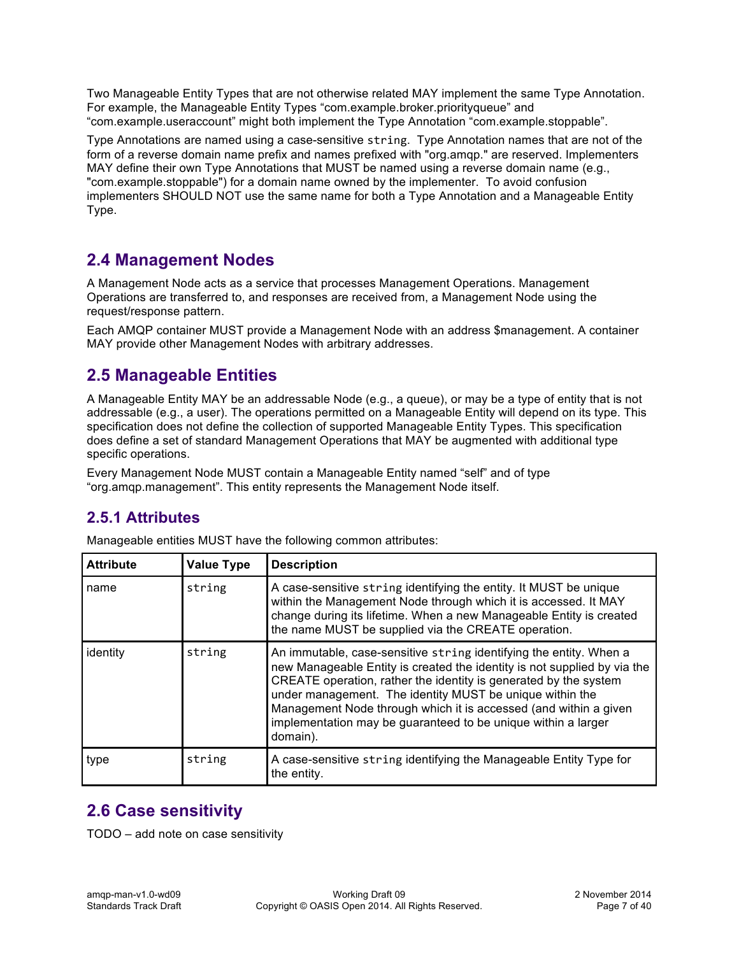Two Manageable Entity Types that are not otherwise related MAY implement the same Type Annotation. For example, the Manageable Entity Types "com.example.broker.priorityqueue" and "com.example.useraccount" might both implement the Type Annotation "com.example.stoppable".

Type Annotations are named using a case-sensitive string. Type Annotation names that are not of the form of a reverse domain name prefix and names prefixed with "org.amqp." are reserved. Implementers MAY define their own Type Annotations that MUST be named using a reverse domain name (e.g., "com.example.stoppable") for a domain name owned by the implementer. To avoid confusion implementers SHOULD NOT use the same name for both a Type Annotation and a Manageable Entity Type.

## **2.4 Management Nodes**

A Management Node acts as a service that processes Management Operations. Management Operations are transferred to, and responses are received from, a Management Node using the request/response pattern.

Each AMQP container MUST provide a Management Node with an address \$management. A container MAY provide other Management Nodes with arbitrary addresses.

## **2.5 Manageable Entities**

A Manageable Entity MAY be an addressable Node (e.g., a queue), or may be a type of entity that is not addressable (e.g., a user). The operations permitted on a Manageable Entity will depend on its type. This specification does not define the collection of supported Manageable Entity Types. This specification does define a set of standard Management Operations that MAY be augmented with additional type specific operations.

Every Management Node MUST contain a Manageable Entity named "self" and of type "org.amqp.management". This entity represents the Management Node itself.

## **2.5.1 Attributes**

| <b>Attribute</b> | <b>Value Type</b> | <b>Description</b>                                                                                                                                                                                                                                                                                                                                                                                                              |
|------------------|-------------------|---------------------------------------------------------------------------------------------------------------------------------------------------------------------------------------------------------------------------------------------------------------------------------------------------------------------------------------------------------------------------------------------------------------------------------|
| name             | string            | A case-sensitive string identifying the entity. It MUST be unique<br>within the Management Node through which it is accessed. It MAY<br>change during its lifetime. When a new Manageable Entity is created<br>the name MUST be supplied via the CREATE operation.                                                                                                                                                              |
| identity         | string            | An immutable, case-sensitive string identifying the entity. When a<br>new Manageable Entity is created the identity is not supplied by via the<br>CREATE operation, rather the identity is generated by the system<br>under management. The identity MUST be unique within the<br>Management Node through which it is accessed (and within a given<br>implementation may be guaranteed to be unique within a larger<br>domain). |
| type             | string            | A case-sensitive string identifying the Manageable Entity Type for<br>the entity.                                                                                                                                                                                                                                                                                                                                               |

Manageable entities MUST have the following common attributes:

## **2.6 Case sensitivity**

TODO – add note on case sensitivity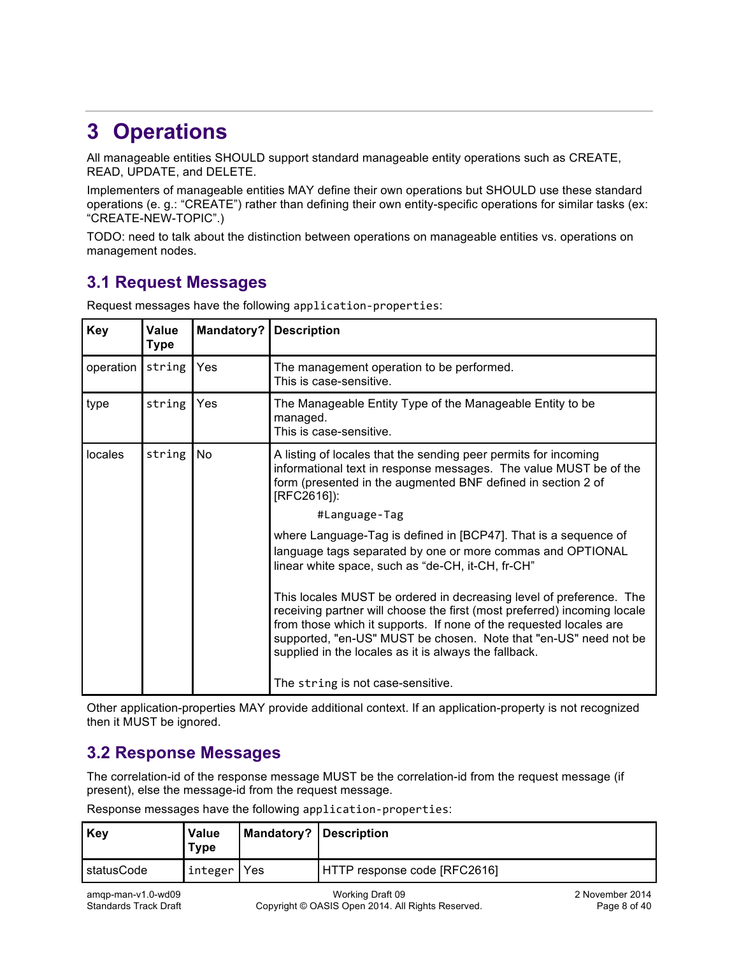# **3 Operations**

All manageable entities SHOULD support standard manageable entity operations such as CREATE, READ, UPDATE, and DELETE.

Implementers of manageable entities MAY define their own operations but SHOULD use these standard operations (e. g.: "CREATE") rather than defining their own entity-specific operations for similar tasks (ex: "CREATE-NEW-TOPIC".)

TODO: need to talk about the distinction between operations on manageable entities vs. operations on management nodes.

## **3.1 Request Messages**

| <b>Key</b> | Value<br>Type | Mandatory? | <b>Description</b>                                                                                                                                                                                                                                                                                                                                                                                                                                                                                                                                        |
|------------|---------------|------------|-----------------------------------------------------------------------------------------------------------------------------------------------------------------------------------------------------------------------------------------------------------------------------------------------------------------------------------------------------------------------------------------------------------------------------------------------------------------------------------------------------------------------------------------------------------|
| operation  | string        | Yes        | The management operation to be performed.<br>This is case-sensitive.                                                                                                                                                                                                                                                                                                                                                                                                                                                                                      |
| type       | string        | Yes        | The Manageable Entity Type of the Manageable Entity to be<br>managed.<br>This is case-sensitive.                                                                                                                                                                                                                                                                                                                                                                                                                                                          |
| locales    | string        | No         | A listing of locales that the sending peer permits for incoming<br>informational text in response messages. The value MUST be of the<br>form (presented in the augmented BNF defined in section 2 of<br>[RFC2616]):                                                                                                                                                                                                                                                                                                                                       |
|            |               |            | #Language-Tag<br>where Language-Tag is defined in [BCP47]. That is a sequence of<br>language tags separated by one or more commas and OPTIONAL<br>linear white space, such as "de-CH, it-CH, fr-CH"<br>This locales MUST be ordered in decreasing level of preference. The<br>receiving partner will choose the first (most preferred) incoming locale<br>from those which it supports. If none of the requested locales are<br>supported, "en-US" MUST be chosen. Note that "en-US" need not be<br>supplied in the locales as it is always the fallback. |
|            |               |            | The string is not case-sensitive.                                                                                                                                                                                                                                                                                                                                                                                                                                                                                                                         |

Request messages have the following application-properties:

Other application-properties MAY provide additional context. If an application-property is not recognized then it MUST be ignored.

## **3.2 Response Messages**

The correlation-id of the response message MUST be the correlation-id from the request message (if present), else the message-id from the request message.

Response messages have the following application-properties:

| Key                 | <b>Value</b><br><b>Type</b> | <b>Mandatory? Description</b> |                              |
|---------------------|-----------------------------|-------------------------------|------------------------------|
| <b>I</b> statusCode | integer                     | Yes                           | HTTP response code [RFC2616] |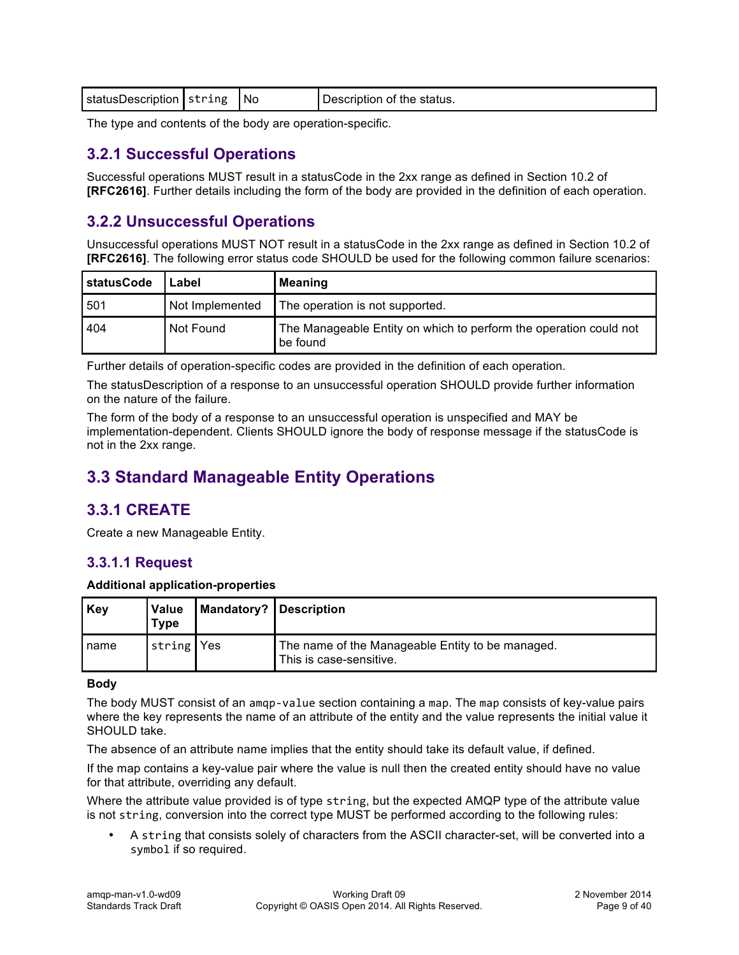| statusDescription String<br>N0 | Description of the status. |
|--------------------------------|----------------------------|
|--------------------------------|----------------------------|

The type and contents of the body are operation-specific.

### **3.2.1 Successful Operations**

Successful operations MUST result in a statusCode in the 2xx range as defined in Section 10.2 of **[RFC2616]**. Further details including the form of the body are provided in the definition of each operation.

## **3.2.2 Unsuccessful Operations**

Unsuccessful operations MUST NOT result in a statusCode in the 2xx range as defined in Section 10.2 of **[RFC2616]**. The following error status code SHOULD be used for the following common failure scenarios:

| statusCode | Label           | <b>Meaning</b>                                                                |
|------------|-----------------|-------------------------------------------------------------------------------|
| 501        | Not Implemented | The operation is not supported.                                               |
| 404        | Not Found       | The Manageable Entity on which to perform the operation could not<br>be found |

Further details of operation-specific codes are provided in the definition of each operation.

The statusDescription of a response to an unsuccessful operation SHOULD provide further information on the nature of the failure.

The form of the body of a response to an unsuccessful operation is unspecified and MAY be implementation-dependent. Clients SHOULD ignore the body of response message if the statusCode is not in the 2xx range.

## **3.3 Standard Manageable Entity Operations**

## **3.3.1 CREATE**

Create a new Manageable Entity.

### **3.3.1.1 Request**

#### **Additional application-properties**

| Key  | <b>Value</b><br><b>Type</b> | <b>Mandatory? Description</b> |                                                                             |
|------|-----------------------------|-------------------------------|-----------------------------------------------------------------------------|
| name | string Yes                  |                               | The name of the Manageable Entity to be managed.<br>This is case-sensitive. |

#### **Body**

The body MUST consist of an amqp-value section containing a map. The map consists of key-value pairs where the key represents the name of an attribute of the entity and the value represents the initial value it SHOULD take.

The absence of an attribute name implies that the entity should take its default value, if defined.

If the map contains a key-value pair where the value is null then the created entity should have no value for that attribute, overriding any default.

Where the attribute value provided is of type string, but the expected AMQP type of the attribute value is not string, conversion into the correct type MUST be performed according to the following rules:

• A string that consists solely of characters from the ASCII character-set, will be converted into a symbol if so required.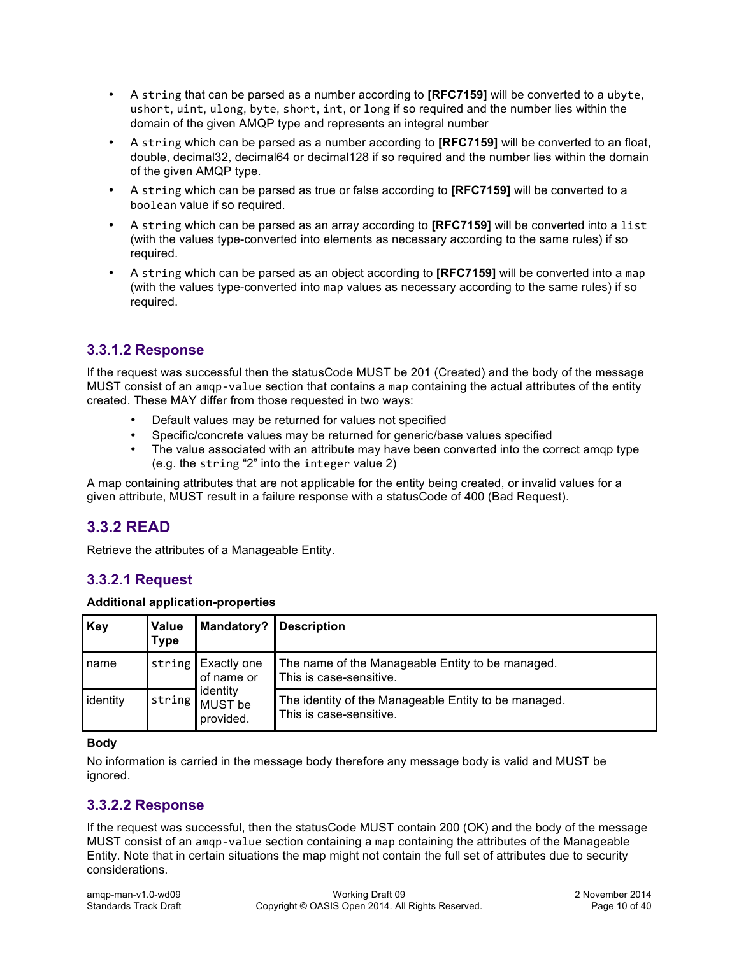- A string that can be parsed as a number according to **[RFC7159]** will be converted to a ubyte, ushort, uint, ulong, byte, short, int, or long if so required and the number lies within the domain of the given AMQP type and represents an integral number
- A string which can be parsed as a number according to **[RFC7159]** will be converted to an float, double, decimal32, decimal64 or decimal128 if so required and the number lies within the domain of the given AMQP type.
- A string which can be parsed as true or false according to **[RFC7159]** will be converted to a boolean value if so required.
- A string which can be parsed as an array according to **[RFC7159]** will be converted into a list (with the values type-converted into elements as necessary according to the same rules) if so required.
- A string which can be parsed as an object according to **[RFC7159]** will be converted into a map (with the values type-converted into map values as necessary according to the same rules) if so required.

### **3.3.1.2 Response**

If the request was successful then the statusCode MUST be 201 (Created) and the body of the message MUST consist of an amqp-value section that contains a map containing the actual attributes of the entity created. These MAY differ from those requested in two ways:

- Default values may be returned for values not specified
- Specific/concrete values may be returned for generic/base values specified
- The value associated with an attribute may have been converted into the correct amqp type (e.g. the string "2" into the integer value 2)

A map containing attributes that are not applicable for the entity being created, or invalid values for a given attribute, MUST result in a failure response with a statusCode of 400 (Bad Request).

### **3.3.2 READ**

Retrieve the attributes of a Manageable Entity.

### **3.3.2.1 Request**

#### **Additional application-properties**

| Key      | <b>Value</b><br><b>Type</b> | <b>Mandatory?   Description</b>                                      |                                                                                 |
|----------|-----------------------------|----------------------------------------------------------------------|---------------------------------------------------------------------------------|
| name     | string!                     | <b>Exactly one</b><br>of name or<br>identity<br>MUST be<br>provided. | The name of the Manageable Entity to be managed.<br>This is case-sensitive.     |
| identity | string                      |                                                                      | The identity of the Manageable Entity to be managed.<br>This is case-sensitive. |

#### **Body**

No information is carried in the message body therefore any message body is valid and MUST be ignored.

#### **3.3.2.2 Response**

If the request was successful, then the statusCode MUST contain 200 (OK) and the body of the message MUST consist of an amqp-value section containing a map containing the attributes of the Manageable Entity. Note that in certain situations the map might not contain the full set of attributes due to security considerations.

| $amp$ -man-v1.0-wd09         |
|------------------------------|
| <b>Standards Track Draft</b> |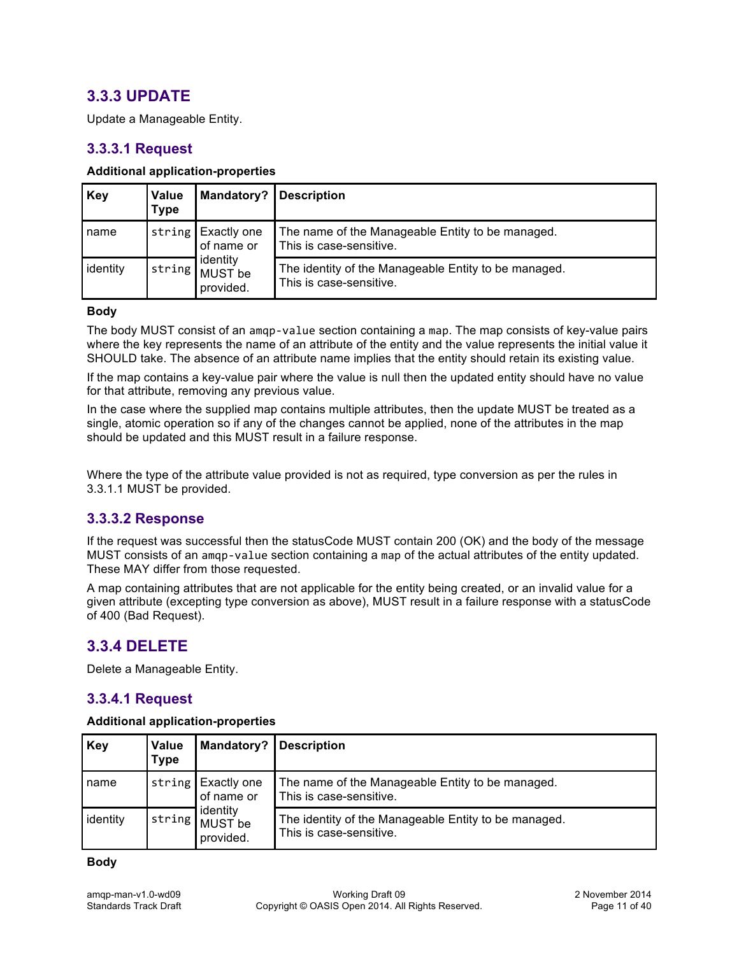## **3.3.3 UPDATE**

Update a Manageable Entity.

### **3.3.3.1 Request**

#### **Additional application-properties**

| Key      | <b>Value</b><br>Type | Mandatory?                                                           | <b>Description</b>                                                              |
|----------|----------------------|----------------------------------------------------------------------|---------------------------------------------------------------------------------|
| name     |                      | string Exactly one<br>of name or<br>identity<br>MUST be<br>provided. | The name of the Manageable Entity to be managed.<br>This is case-sensitive.     |
| identity | string               |                                                                      | The identity of the Manageable Entity to be managed.<br>This is case-sensitive. |

#### **Body**

The body MUST consist of an amqp-value section containing a map. The map consists of key-value pairs where the key represents the name of an attribute of the entity and the value represents the initial value it SHOULD take. The absence of an attribute name implies that the entity should retain its existing value.

If the map contains a key-value pair where the value is null then the updated entity should have no value for that attribute, removing any previous value.

In the case where the supplied map contains multiple attributes, then the update MUST be treated as a single, atomic operation so if any of the changes cannot be applied, none of the attributes in the map should be updated and this MUST result in a failure response.

Where the type of the attribute value provided is not as required, type conversion as per the rules in 3.3.1.1 MUST be provided.

#### **3.3.3.2 Response**

If the request was successful then the statusCode MUST contain 200 (OK) and the body of the message MUST consists of an amqp-value section containing a map of the actual attributes of the entity updated. These MAY differ from those requested.

A map containing attributes that are not applicable for the entity being created, or an invalid value for a given attribute (excepting type conversion as above), MUST result in a failure response with a statusCode of 400 (Bad Request).

### **3.3.4 DELETE**

Delete a Manageable Entity.

### **3.3.4.1 Request**

#### **Additional application-properties**

| Key      | Value<br><b>Type</b> | Mandatory?   Description                                                        |                                                                                 |
|----------|----------------------|---------------------------------------------------------------------------------|---------------------------------------------------------------------------------|
| name     |                      | string Exactly one<br>of name or<br>identity<br>  string   MUST be<br>provided. | The name of the Manageable Entity to be managed.<br>This is case-sensitive.     |
| identity |                      |                                                                                 | The identity of the Manageable Entity to be managed.<br>This is case-sensitive. |

**Body**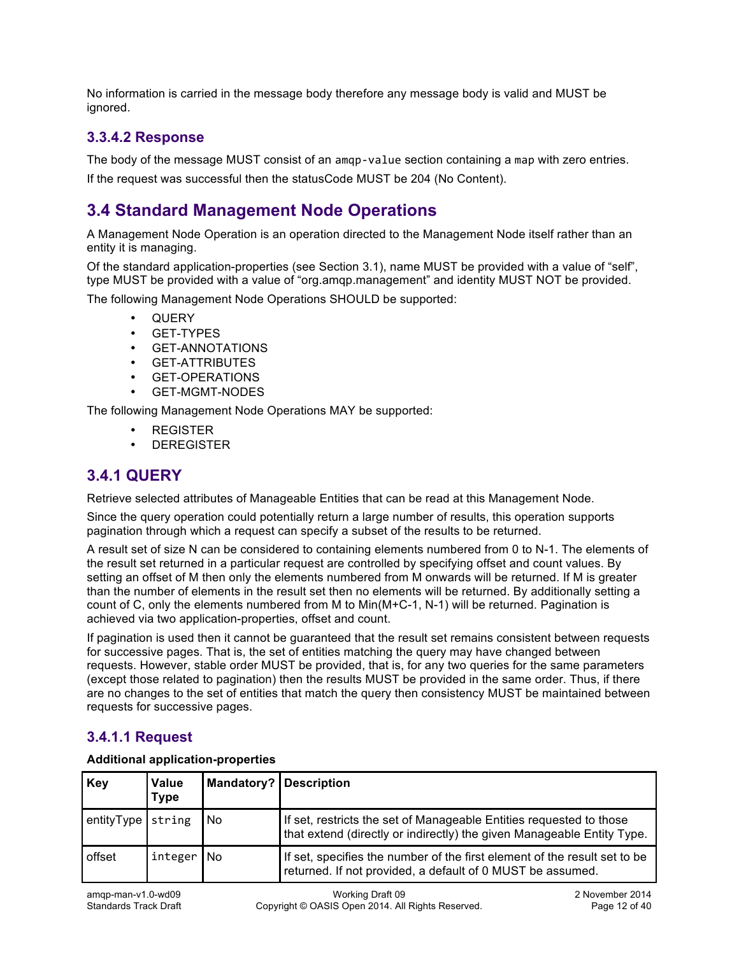No information is carried in the message body therefore any message body is valid and MUST be ignored.

### **3.3.4.2 Response**

The body of the message MUST consist of an amqp-value section containing a map with zero entries.

If the request was successful then the statusCode MUST be 204 (No Content).

## **3.4 Standard Management Node Operations**

A Management Node Operation is an operation directed to the Management Node itself rather than an entity it is managing.

Of the standard application-properties (see Section 3.1), name MUST be provided with a value of "self", type MUST be provided with a value of "org.amqp.management" and identity MUST NOT be provided. The following Management Node Operations SHOULD be supported:

- QUERY
- GET-TYPES
- GET-ANNOTATIONS
- **GET-ATTRIBUTES**
- GET-OPERATIONS
- GET-MGMT-NODES

The following Management Node Operations MAY be supported:

- REGISTER
- **DEREGISTER**

## **3.4.1 QUERY**

Retrieve selected attributes of Manageable Entities that can be read at this Management Node.

Since the query operation could potentially return a large number of results, this operation supports pagination through which a request can specify a subset of the results to be returned.

A result set of size N can be considered to containing elements numbered from 0 to N-1. The elements of the result set returned in a particular request are controlled by specifying offset and count values. By setting an offset of M then only the elements numbered from M onwards will be returned. If M is greater than the number of elements in the result set then no elements will be returned. By additionally setting a count of C, only the elements numbered from M to Min(M+C-1, N-1) will be returned. Pagination is achieved via two application-properties, offset and count.

If pagination is used then it cannot be guaranteed that the result set remains consistent between requests for successive pages. That is, the set of entities matching the query may have changed between requests. However, stable order MUST be provided, that is, for any two queries for the same parameters (except those related to pagination) then the results MUST be provided in the same order. Thus, if there are no changes to the set of entities that match the query then consistency MUST be maintained between requests for successive pages.

### **3.4.1.1 Request**

| Key        | <b>Value</b><br><b>Type</b> | Mandatory?   Description |                                                                                                                                               |
|------------|-----------------------------|--------------------------|-----------------------------------------------------------------------------------------------------------------------------------------------|
| entityType | string                      | <b>No</b>                | If set, restricts the set of Manageable Entities requested to those<br>that extend (directly or indirectly) the given Manageable Entity Type. |
| offset     | integer <i>No</i>           |                          | If set, specifies the number of the first element of the result set to be<br>returned. If not provided, a default of 0 MUST be assumed.       |

#### **Additional application-properties**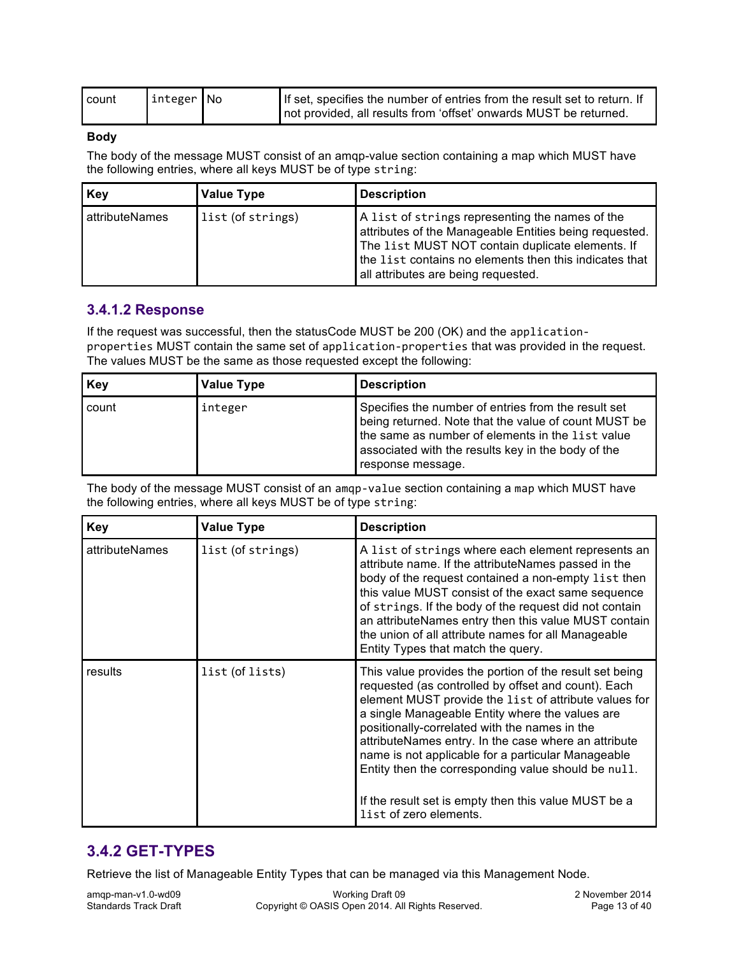| l count | integer No | If set, specifies the number of entries from the result set to return. If |
|---------|------------|---------------------------------------------------------------------------|
|         |            | not provided, all results from 'offset' onwards MUST be returned.         |

#### **Body**

The body of the message MUST consist of an amqp-value section containing a map which MUST have the following entries, where all keys MUST be of type string:

| Key            | <b>Value Type</b> | <b>Description</b>                                                                                                                                                                                                                                             |
|----------------|-------------------|----------------------------------------------------------------------------------------------------------------------------------------------------------------------------------------------------------------------------------------------------------------|
| attributeNames | list (of strings) | A list of strings representing the names of the<br>attributes of the Manageable Entities being requested.<br>The list MUST NOT contain duplicate elements. If<br>the list contains no elements then this indicates that<br>all attributes are being requested. |

### **3.4.1.2 Response**

If the request was successful, then the statusCode MUST be 200 (OK) and the applicationproperties MUST contain the same set of application-properties that was provided in the request. The values MUST be the same as those requested except the following:

| Key     | <b>Value Type</b> | <b>Description</b>                                                                                                                                                                                                                         |
|---------|-------------------|--------------------------------------------------------------------------------------------------------------------------------------------------------------------------------------------------------------------------------------------|
| l count | integer           | Specifies the number of entries from the result set<br>being returned. Note that the value of count MUST be<br>the same as number of elements in the list value<br>associated with the results key in the body of the<br>response message. |

The body of the message MUST consist of an amqp-value section containing a map which MUST have the following entries, where all keys MUST be of type string:

| <b>Key</b>     | <b>Value Type</b> | <b>Description</b>                                                                                                                                                                                                                                                                                                                                                                                                                                                                                                                 |
|----------------|-------------------|------------------------------------------------------------------------------------------------------------------------------------------------------------------------------------------------------------------------------------------------------------------------------------------------------------------------------------------------------------------------------------------------------------------------------------------------------------------------------------------------------------------------------------|
| attributeNames | list (of strings) | A list of strings where each element represents an<br>attribute name. If the attributeNames passed in the<br>body of the request contained a non-empty list then<br>this value MUST consist of the exact same sequence<br>of strings. If the body of the request did not contain<br>an attributeNames entry then this value MUST contain<br>the union of all attribute names for all Manageable<br>Entity Types that match the query.                                                                                              |
| results        | list (of lists)   | This value provides the portion of the result set being<br>requested (as controlled by offset and count). Each<br>element MUST provide the list of attribute values for<br>a single Manageable Entity where the values are<br>positionally-correlated with the names in the<br>attributeNames entry. In the case where an attribute<br>name is not applicable for a particular Manageable<br>Entity then the corresponding value should be null.<br>If the result set is empty then this value MUST be a<br>list of zero elements. |

## **3.4.2 GET-TYPES**

Retrieve the list of Manageable Entity Types that can be managed via this Management Node.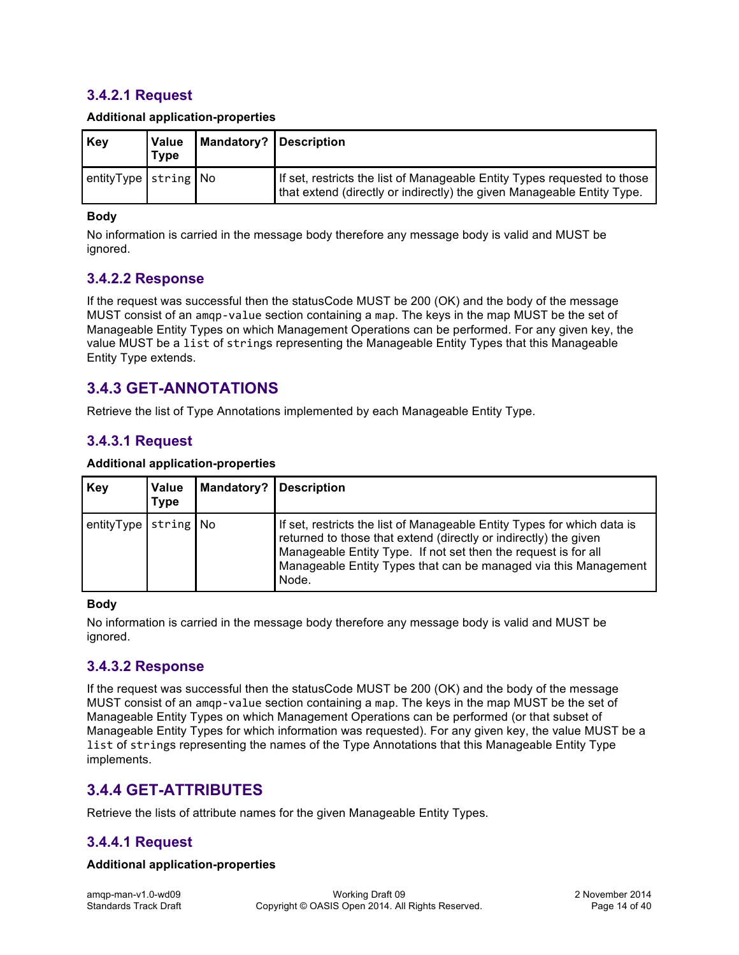### **3.4.2.1 Request**

| Key                  | <b>Value</b><br>Type | Mandatory?   Description |                                                                                                                                                    |
|----------------------|----------------------|--------------------------|----------------------------------------------------------------------------------------------------------------------------------------------------|
| entityType string No |                      |                          | If set, restricts the list of Manageable Entity Types requested to those<br>that extend (directly or indirectly) the given Manageable Entity Type. |

#### **Body**

No information is carried in the message body therefore any message body is valid and MUST be ignored.

### **3.4.2.2 Response**

If the request was successful then the statusCode MUST be 200 (OK) and the body of the message MUST consist of an amqp-value section containing a map. The keys in the map MUST be the set of Manageable Entity Types on which Management Operations can be performed. For any given key, the value MUST be a list of strings representing the Manageable Entity Types that this Manageable Entity Type extends.

### **3.4.3 GET-ANNOTATIONS**

Retrieve the list of Type Annotations implemented by each Manageable Entity Type.

### **3.4.3.1 Request**

#### **Additional application-properties**

| Key                  | <b>Value</b><br><b>Type</b> | <b>Mandatory? Description</b> |                                                                                                                                                                                                                                                                                           |  |
|----------------------|-----------------------------|-------------------------------|-------------------------------------------------------------------------------------------------------------------------------------------------------------------------------------------------------------------------------------------------------------------------------------------|--|
| entityType string No |                             |                               | If set, restricts the list of Manageable Entity Types for which data is<br>returned to those that extend (directly or indirectly) the given<br>Manageable Entity Type. If not set then the request is for all<br>Manageable Entity Types that can be managed via this Management<br>Node. |  |

#### **Body**

No information is carried in the message body therefore any message body is valid and MUST be ignored.

#### **3.4.3.2 Response**

If the request was successful then the statusCode MUST be 200 (OK) and the body of the message MUST consist of an amqp-value section containing a map. The keys in the map MUST be the set of Manageable Entity Types on which Management Operations can be performed (or that subset of Manageable Entity Types for which information was requested). For any given key, the value MUST be a list of strings representing the names of the Type Annotations that this Manageable Entity Type implements.

### **3.4.4 GET-ATTRIBUTES**

Retrieve the lists of attribute names for the given Manageable Entity Types.

### **3.4.4.1 Request**

#### **Additional application-properties**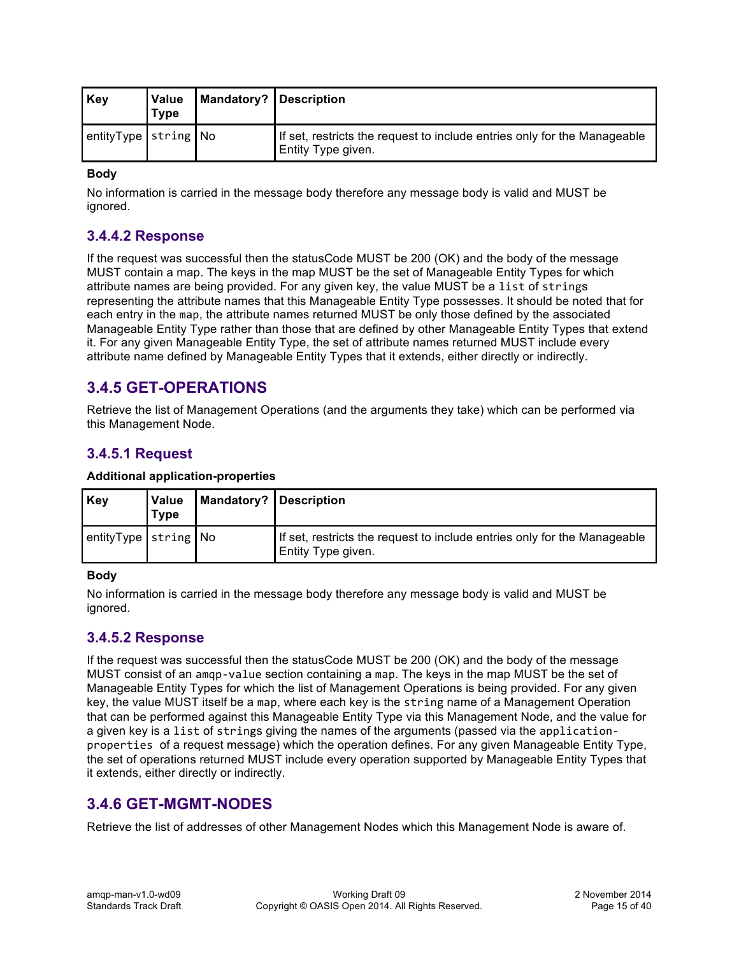| Key                  | <b>Value</b><br><b>Type</b> | <b>Mandatory? Description</b> |                                                                                                |  |
|----------------------|-----------------------------|-------------------------------|------------------------------------------------------------------------------------------------|--|
| entityType string No |                             |                               | If set, restricts the request to include entries only for the Manageable<br>Entity Type given. |  |

#### **Body**

No information is carried in the message body therefore any message body is valid and MUST be ignored.

### **3.4.4.2 Response**

If the request was successful then the statusCode MUST be 200 (OK) and the body of the message MUST contain a map. The keys in the map MUST be the set of Manageable Entity Types for which attribute names are being provided. For any given key, the value MUST be a list of strings representing the attribute names that this Manageable Entity Type possesses. It should be noted that for each entry in the map, the attribute names returned MUST be only those defined by the associated Manageable Entity Type rather than those that are defined by other Manageable Entity Types that extend it. For any given Manageable Entity Type, the set of attribute names returned MUST include every attribute name defined by Manageable Entity Types that it extends, either directly or indirectly.

## **3.4.5 GET-OPERATIONS**

Retrieve the list of Management Operations (and the arguments they take) which can be performed via this Management Node.

### **3.4.5.1 Request**

| Key                               | <b>Value</b><br><b>Type</b> | Mandatory? Description |                                                                                                |
|-----------------------------------|-----------------------------|------------------------|------------------------------------------------------------------------------------------------|
| $ $ entity Type $ $ string $ $ No |                             |                        | If set, restricts the request to include entries only for the Manageable<br>Entity Type given. |

#### **Additional application-properties**

#### **Body**

No information is carried in the message body therefore any message body is valid and MUST be ignored.

#### **3.4.5.2 Response**

If the request was successful then the statusCode MUST be 200 (OK) and the body of the message MUST consist of an amqp-value section containing a map. The keys in the map MUST be the set of Manageable Entity Types for which the list of Management Operations is being provided. For any given key, the value MUST itself be a map, where each key is the string name of a Management Operation that can be performed against this Manageable Entity Type via this Management Node, and the value for a given key is a list of strings giving the names of the arguments (passed via the applicationproperties of a request message) which the operation defines. For any given Manageable Entity Type, the set of operations returned MUST include every operation supported by Manageable Entity Types that it extends, either directly or indirectly.

### **3.4.6 GET-MGMT-NODES**

Retrieve the list of addresses of other Management Nodes which this Management Node is aware of.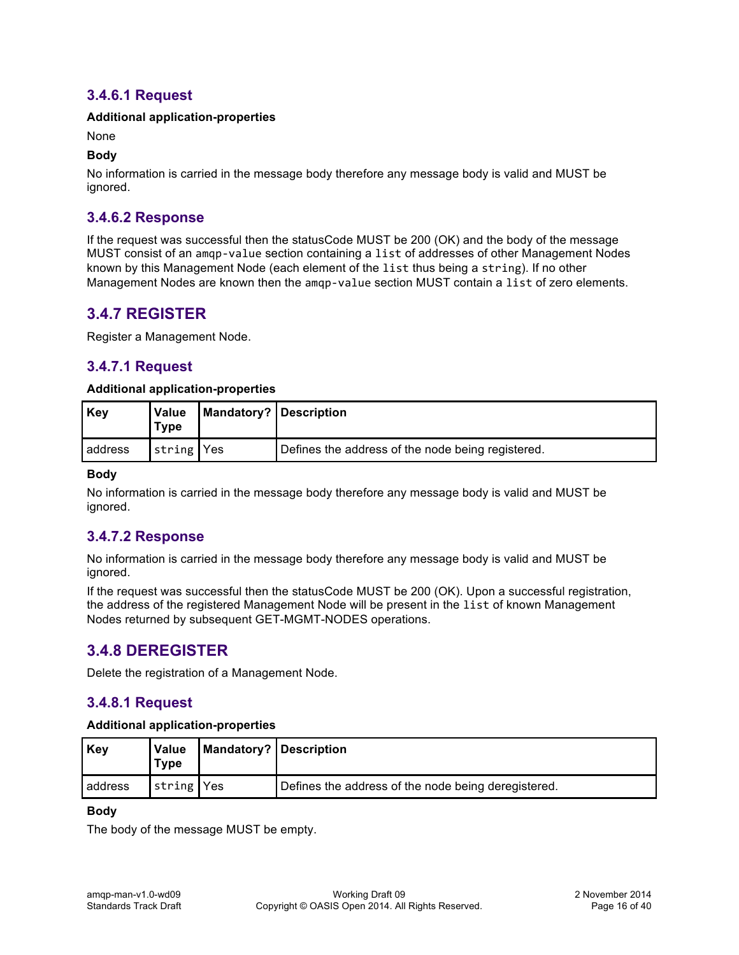### **3.4.6.1 Request**

#### **Additional application-properties**

#### None

#### **Body**

No information is carried in the message body therefore any message body is valid and MUST be ignored.

### **3.4.6.2 Response**

If the request was successful then the statusCode MUST be 200 (OK) and the body of the message MUST consist of an amqp-value section containing a list of addresses of other Management Nodes known by this Management Node (each element of the list thus being a string). If no other Management Nodes are known then the amqp-value section MUST contain a list of zero elements.

### **3.4.7 REGISTER**

Register a Management Node.

### **3.4.7.1 Request**

#### **Additional application-properties**

| <b>Key</b> | <b>Value</b><br>Туре | <b>I Mandatory? Description</b> |                                                   |
|------------|----------------------|---------------------------------|---------------------------------------------------|
| address    | string Yes           |                                 | Defines the address of the node being registered. |

#### **Body**

No information is carried in the message body therefore any message body is valid and MUST be ignored.

#### **3.4.7.2 Response**

No information is carried in the message body therefore any message body is valid and MUST be ignored.

If the request was successful then the statusCode MUST be 200 (OK). Upon a successful registration, the address of the registered Management Node will be present in the list of known Management Nodes returned by subsequent GET-MGMT-NODES operations.

### **3.4.8 DEREGISTER**

Delete the registration of a Management Node.

### **3.4.8.1 Request**

#### **Additional application-properties**

| Key     | Value<br>Type | Mandatory? Description                              |  |
|---------|---------------|-----------------------------------------------------|--|
| address | string Yes    | Defines the address of the node being deregistered. |  |

#### **Body**

The body of the message MUST be empty.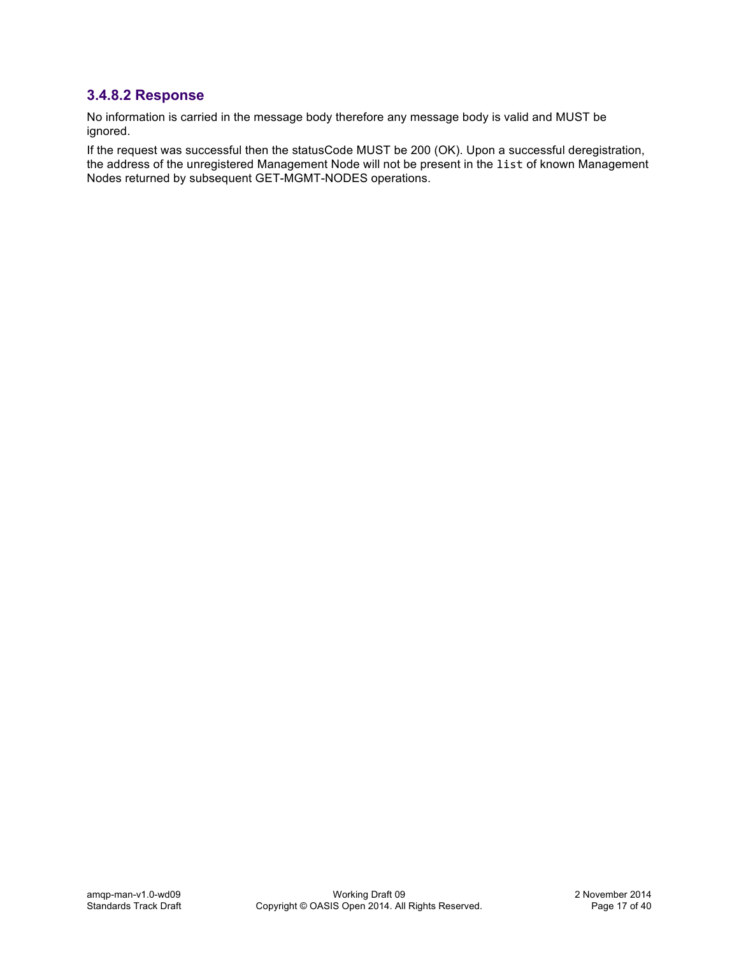## **3.4.8.2 Response**

No information is carried in the message body therefore any message body is valid and MUST be ignored.

If the request was successful then the statusCode MUST be 200 (OK). Upon a successful deregistration, the address of the unregistered Management Node will not be present in the list of known Management Nodes returned by subsequent GET-MGMT-NODES operations.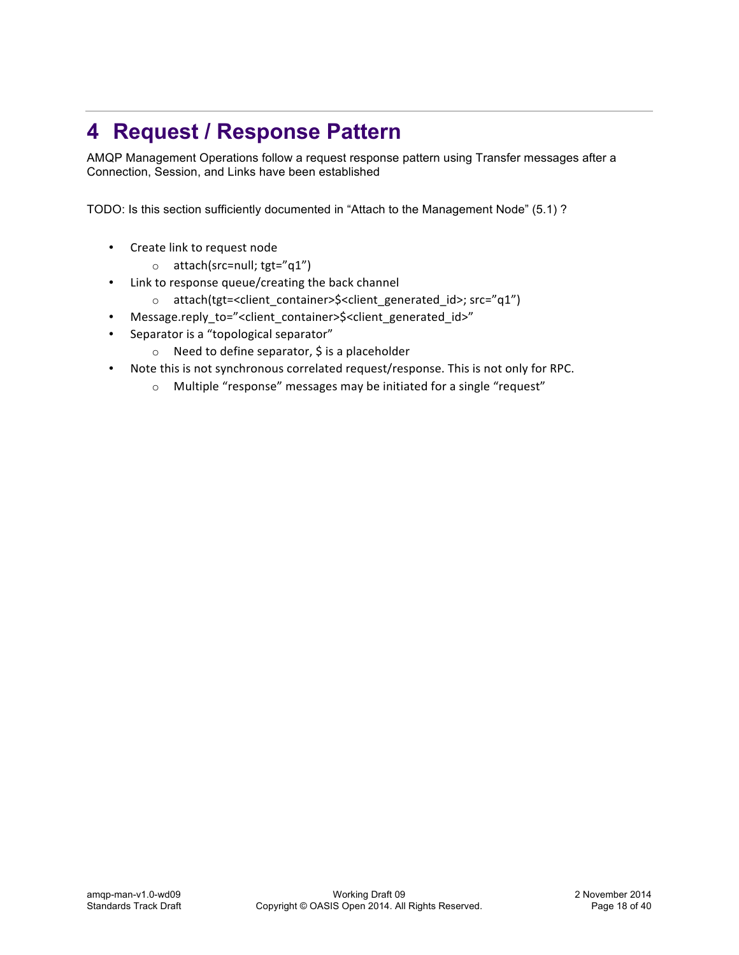# **4 Request / Response Pattern**

AMQP Management Operations follow a request response pattern using Transfer messages after a Connection, Session, and Links have been established

TODO: Is this section sufficiently documented in "Attach to the Management Node" (5.1) ?

- Create link to request node
	- $\circ$  attach(src=null; tgt="q1")
- Link to response queue/creating the back channel
	- o attach(tgt=<client\_container>\$<client\_generated\_id>; src="q1")
- Message.reply\_to="<client\_container>\$<client\_generated\_id>"
- Separator is a "topological separator"
	- $\circ$  Need to define separator,  $\circ$  is a placeholder
- Note this is not synchronous correlated request/response. This is not only for RPC.
	- $\circ$  Multiple "response" messages may be initiated for a single "request"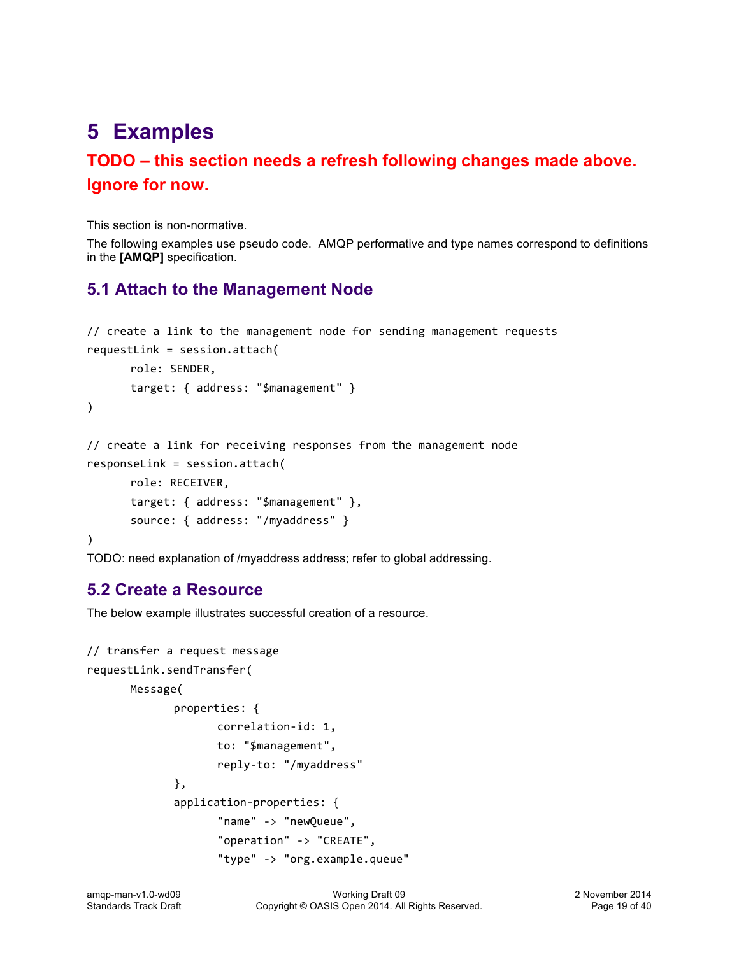# **5 Examples**

## **TODO – this section needs a refresh following changes made above. Ignore for now.**

This section is non-normative.

The following examples use pseudo code. AMQP performative and type names correspond to definitions in the **[AMQP]** specification.

## **5.1 Attach to the Management Node**

```
// create a link to the management node for sending management requests
requestLink = session.startach(role:	SENDER,	
      target: { address: "$management" }
)
// create a link for receiving responses from the management node
responseLink	=	session.attach(
      role:	RECEIVER,	
      target: { address: "$management" },
      source: { address: "/myaddress" }
)
```
TODO: need explanation of /myaddress address; refer to global addressing.

## **5.2 Create a Resource**

The below example illustrates successful creation of a resource.

```
// transfer a request message
requestLink.sendTransfer(
      Message(
             properties: {
                    correlation-id:	1,
                    to:	"$management",
                    reply-to:	"/myaddress"	
             },
             application-properties: {
                    "name"	->	"newQueue",
                    "operation" -> "CREATE",
                    "type"	->	"org.example.queue"
```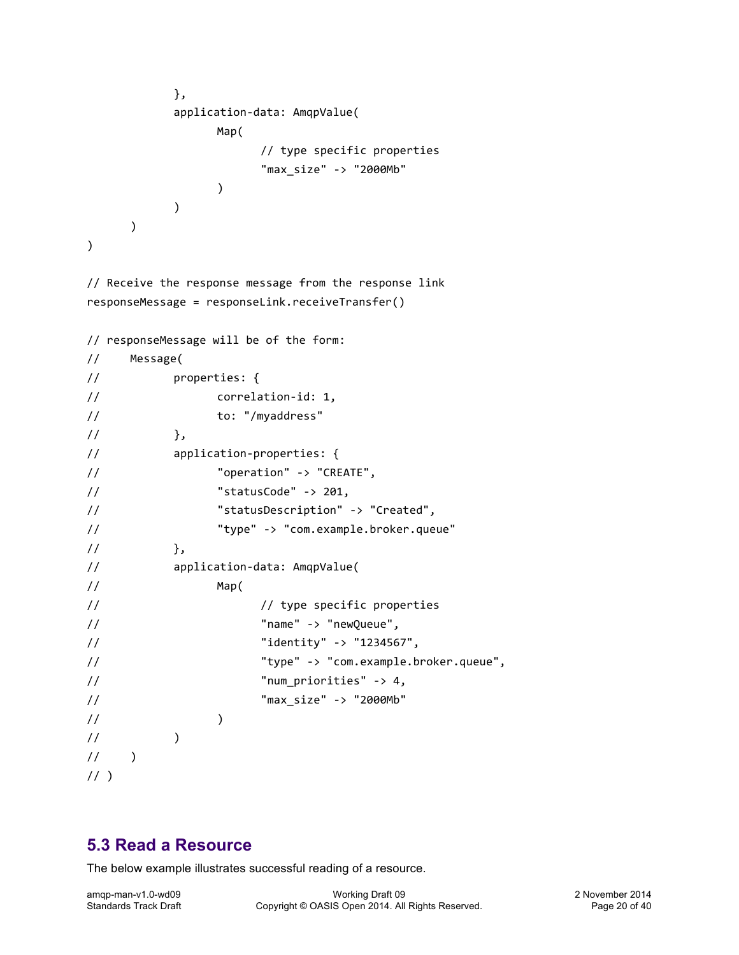```
},
                application-data: AmqpValue(
                        Map(
                                 //	type	specific	properties
                                 "max_size"	->	"2000Mb"			 				
                        )
                )
        \lambda\lambda
```
// Receive the response message from the response link responseMessage = responseLink.receiveTransfer()

```
// responseMessage will be of the form:
// Message(
// properties: {
// correlation-id: 1,
// to:	"/myaddress"	
\frac{1}{2}, \frac{1}{2}, \frac{1}{2}// application-properties: {
// \blacksquare "operation" -> "CREATE",
\frac{1}{2} \frac{1}{201} \frac{1}{201}// The "statusDescription" -> "Created",
// "type"	->	"com.example.broker.queue"	
// \},
// application-data: AmqpValue(
// Map(
// type specific properties
// "name"	->	"newQueue",
\frac{1}{2} \frac{1}{2} \frac{1}{2} \frac{1}{2} \frac{1}{2} \frac{1}{2} \frac{1}{2} \frac{1}{2} \frac{1}{2} \frac{1}{2} \frac{1}{2} \frac{1}{2} \frac{1}{2} \frac{1}{2} \frac{1}{2} \frac{1}{2} \frac{1}{2} \frac{1}{2} \frac{1}{2} \frac{1}{2} \frac{1}{2} \frac{1}{2} // "type"	->	"com.example.broker.queue",
\frac{1}{2} \frac{1}{2} \frac{1}{2} \frac{1}{2} \frac{1}{2} \frac{1}{2} \frac{1}{2} \frac{1}{2} \frac{1}{2} \frac{1}{2} \frac{1}{2} \frac{1}{2} \frac{1}{2} \frac{1}{2} \frac{1}{2} \frac{1}{2} \frac{1}{2} \frac{1}{2} \frac{1}{2} \frac{1}{2} \frac{1}{2} \frac{1}{2} // "max_size"	->	"2000Mb"			 				
\frac{1}{2} )
\frac{1}{2} )
1/ )
1/
```
### **5.3 Read a Resource**

The below example illustrates successful reading of a resource.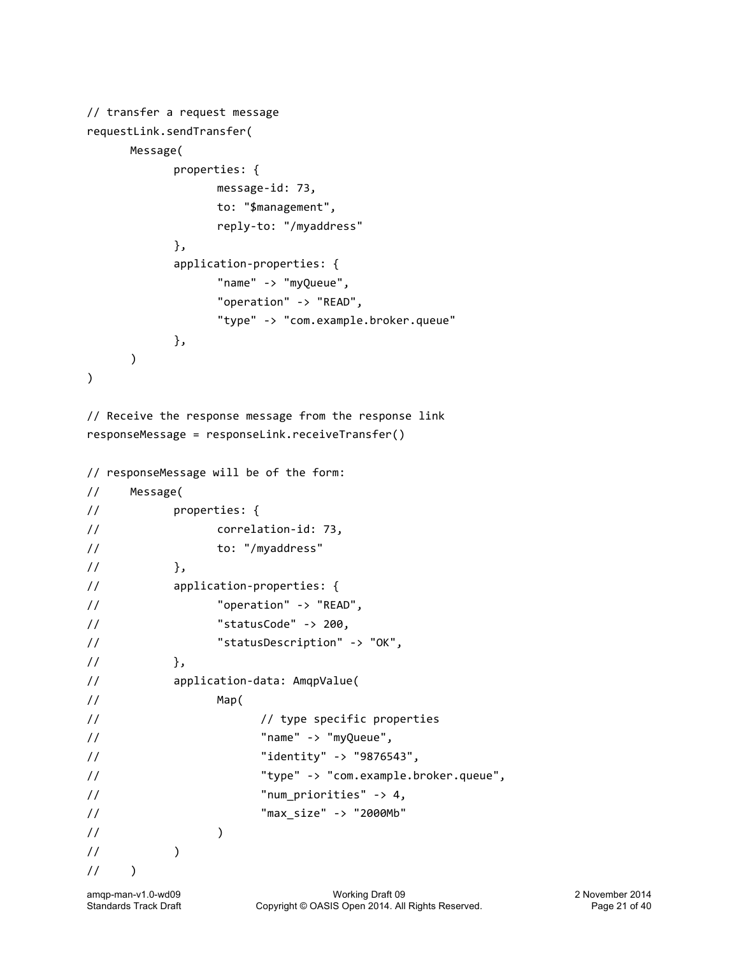```
// transfer a request message
requestLink.sendTransfer(
      Message(
             properties: {
                    message-id:	73,
                    to:	"$management",
                    reply-to:	"/myaddress"	
             },
             application-properties: {
                    "name"	->	"myQueue",
                    "operation"	->	"READ",
                    "type"	->	"com.example.broker.queue"	
             },
      		 )
)
```

```
// Receive the response message from the response link
responseMessage	=	responseLink.receiveTransfer()
```

```
// responseMessage will be of the form:
// Message(
// properties: {
// correlation-id:	73,
// to:	"/myaddress"	
\frac{1}{\sqrt{2}}, \frac{1}{\sqrt{2}}// application-properties: {
// \blacksquare "operation" -> "READ",
1/ "statusCode" -> 200,
// \blacksquare "statusDescription" -> "OK",
\frac{1}{1} },
// application-data: AmqpValue(
// Map(
// type specific properties
// "name"	->	"myQueue",
// Tidentity" -> "9876543",
// "type"	->	"com.example.broker.queue",	
// Thum_priorities" -> 4,
// "max_size"	->	"2000Mb"			 				
\frac{1}{2} )
\frac{1}{2} )
\frac{1}{2} )
```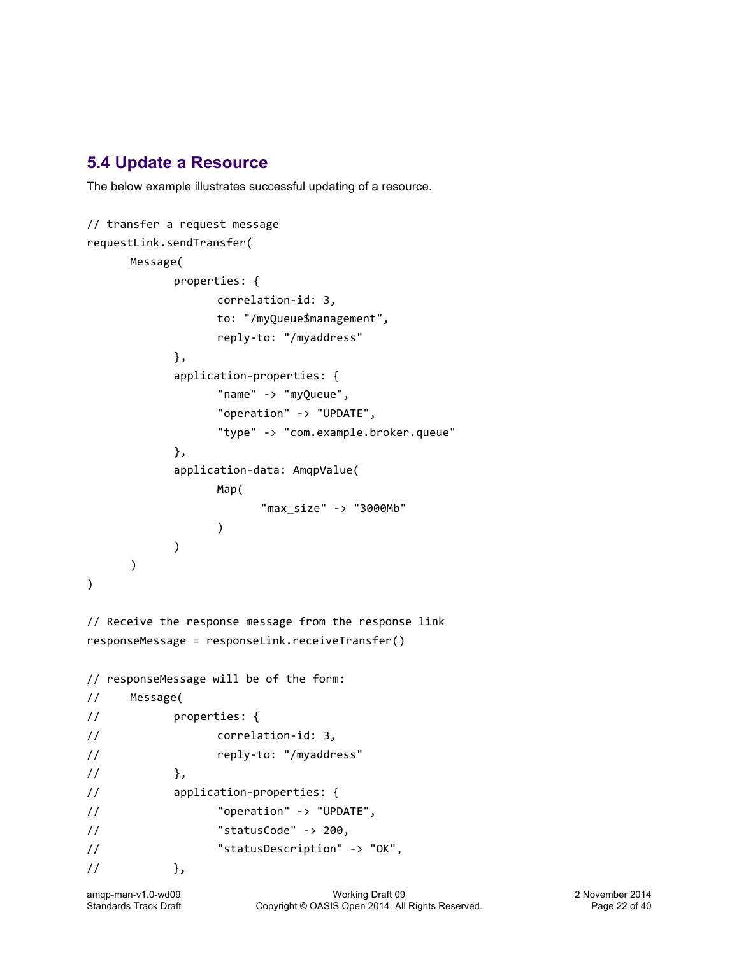## **5.4 Update a Resource**

The below example illustrates successful updating of a resource.

```
// transfer a request message
requestLink.sendTransfer(
     Message(
            properties: {
                  correlation-id:	3,
                  to:	"/myQueue$management",
                  reply-to:	"/myaddress"	
            },
            application-properties: {
                  "name"	->	"myQueue",
                  "operation"	->	"UPDATE",
                  "type"	->	"com.example.broker.queue"	
            },
            application-data: AmqpValue(
                  Map(
                        "max_size"	->	"3000Mb"			 				
                  )
            )
      		 )
)
// Receive the response message from the response link
responseMessage	=	responseLink.receiveTransfer()
// responseMessage will be of the form:
// Message(
// properties: {
// correlation-id:	3,
// reply-to:	"/myaddress"	
\frac{1}{3},
// application-properties: {
// \blacksquare "operation" -> "UPDATE",
1/ "statusCode" -> 200,
// The "statusDescription" -> "OK",
\frac{1}{1} },
```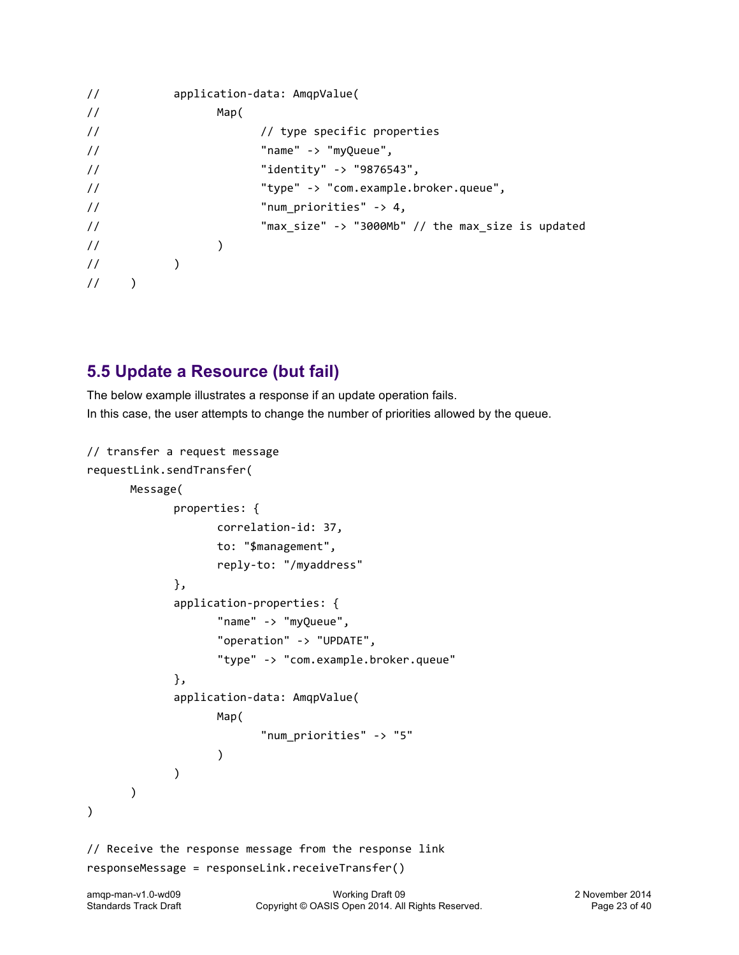```
// application-data: AmqpValue(
// Map(
// type specific properties
// "name"	->	"myQueue",
// "identity"	->	"9876543",
// "type"	->	"com.example.broker.queue",	
\frac{1}{2} \frac{1}{2} \frac{1}{2} \frac{1}{2} \frac{1}{2} \frac{1}{2} \frac{1}{2} \frac{1}{2} \frac{1}{2} \frac{1}{2} \frac{1}{2} \frac{1}{2} \frac{1}{2} \frac{1}{2} \frac{1}{2} \frac{1}{2} \frac{1}{2} \frac{1}{2} \frac{1}{2} \frac{1}{2} \frac{1}{2} \frac{1}{2} // The max size" -> "3000Mb" // the max size is updated
\frac{1}{2} )
\frac{1}{2} )
\frac{1}{2} )
```
## **5.5 Update a Resource (but fail)**

The below example illustrates a response if an update operation fails. In this case, the user attempts to change the number of priorities allowed by the queue.

```
// transfer a request message
requestLink.sendTransfer(
      Message(
             properties: {
                    correlation-id:	37,
                    to:	"$management",
                    reply-to:	"/myaddress"	
             },
              application-properties: {
                     "name"	->	"myQueue",
                     "operation"	->	"UPDATE",
                     "type"	->	"com.example.broker.queue"	
             },
             application-data: AmqpValue(
                    Map(
                            "num_priorities"	->	"5"			 				
                    )
              )
      		 )
)
// Receive the response message from the response link
responseMessage	=	responseLink.receiveTransfer()
```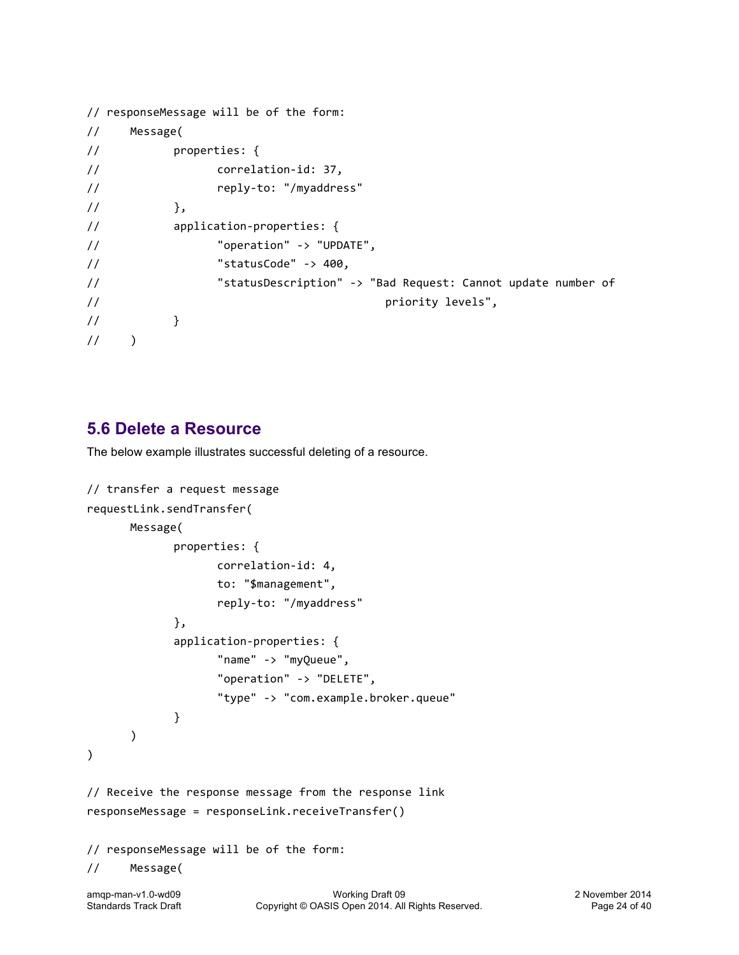```
// responseMessage will be of the form:
// Message(
// properties: {
// correlation-id:	37,
// reply-to:	"/myaddress"	
\frac{1}{3},
// application-properties: {
// \blacksquare "operation" -> "UPDATE",
\frac{1}{2} \frac{1}{2} \frac{1}{2} \frac{1}{2} \frac{1}{2} \frac{1}{2} \frac{1}{2} \frac{1}{2} \frac{1}{2} \frac{1}{2} \frac{1}{2} \frac{1}{2} \frac{1}{2} \frac{1}{2} \frac{1}{2} \frac{1}{2} \frac{1}{2} \frac{1}{2} \frac{1}{2} \frac{1}{2} \frac{1}{2} \frac{1}{2} // The statusDescription" -> "Bad Request: Cannot update number of
// state of the contract of the contract of the priority levels",
\frac{1}{2} \frac{1}{2} \frac{1}{2}\frac{1}{2} )
```
## **5.6 Delete a Resource**

The below example illustrates successful deleting of a resource.

```
// transfer a request message
requestLink.sendTransfer(
      Message(
             properties: {
                    correlation-id:	4,
                    to:	"$management",
                    reply-to:	"/myaddress"	
             },
             application-properties: {
                    "name"	->	"myQueue",
                    "operation" -> "DELETE",
                    "type"	->	"com.example.broker.queue"	
             }
      		 )
)
// Receive the response message from the response link
responseMessage	=	responseLink.receiveTransfer()
// responseMessage will be of the form:
// Message(
```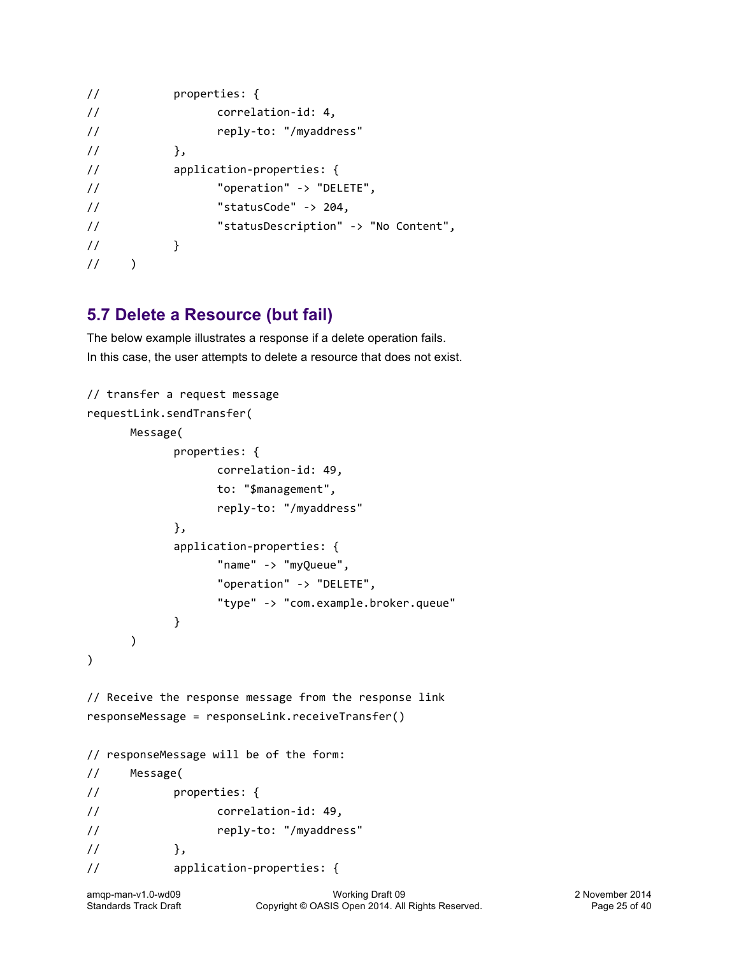```
// properties: {
// correlation-id: 4,
// reply-to:	"/myaddress"	
\frac{1}{3},
// application-properties: {
// \blacksquare "operation" -> "DELETE",
\frac{1}{2} \frac{1}{204} \frac{1}{204}// The "statusDescription" -> "No Content",
// \qquad \qquad }
\frac{1}{2} )
```
## **5.7 Delete a Resource (but fail)**

The below example illustrates a response if a delete operation fails. In this case, the user attempts to delete a resource that does not exist.

```
// transfer a request message
requestLink.sendTransfer(
      Message(
            properties: {
                  correlation-id:	49,
                  to:	"$management",
                  reply-to:	"/myaddress"	
            },
            application-properties: {
                  "name"	->	"myQueue",
                  "operation" -> "DELETE",
                  "type"	->	"com.example.broker.queue"	
            }
      		 )
)
// Receive the response message from the response link
responseMessage	=	responseLink.receiveTransfer()
// responseMessage will be of the form:
// Message(
// properties: {
// correlation-id:	49,
// reply-to:	"/myaddress"	
\frac{1}{2},
// application-properties: {
```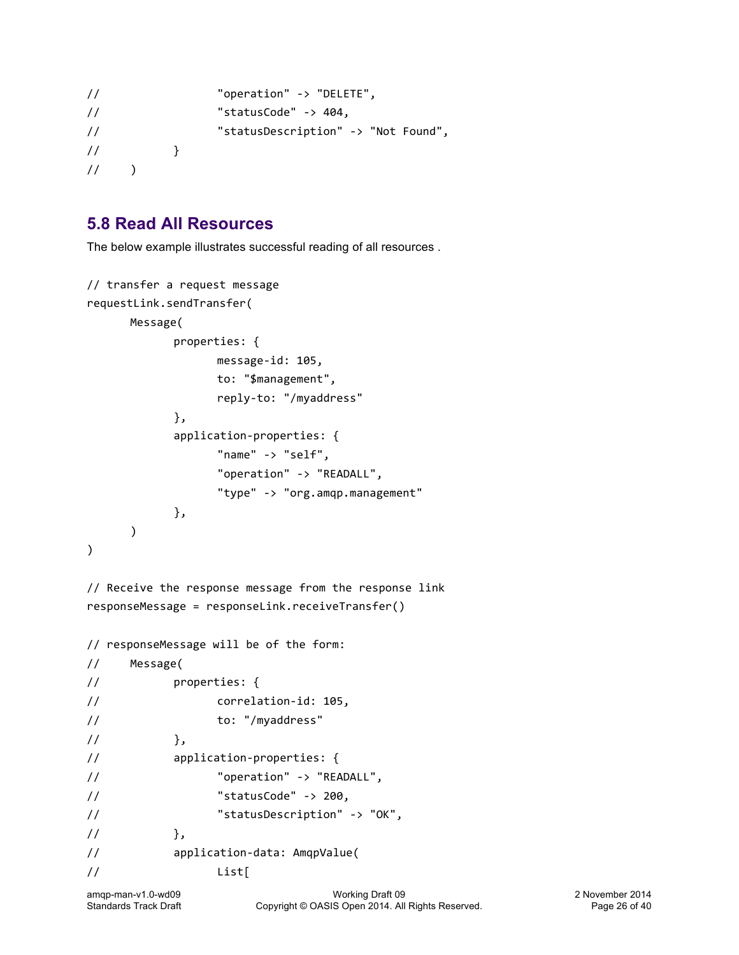```
// \blacksquare "operation" -> "DELETE",
// The "statusCode" -> 404,
// The "statusDescription" -> "Not Found",
// \}\frac{1}{2} )
```
## **5.8 Read All Resources**

The below example illustrates successful reading of all resources .

```
// transfer a request message
requestLink.sendTransfer(
      Message(
              properties: {
                     message-id: 105,
                     to:	"$management",
                     reply-to:	"/myaddress"	
              },
              application-properties: {
                     "name"	->	"self",
                     "operation"	->	"READALL",
                     "type" -> "org.amqp.management"
              },
       \mathcal{L})
```
// Receive the response message from the response link responseMessage = responseLink.receiveTransfer()

```
// responseMessage will be of the form:
// Message(
// properties: {
// correlation-id: 105,
// to:	"/myaddress"	
\frac{1}{2}, \frac{1}{2}, \frac{1}{2}// application-properties: {
// \blacksquare "operation" -> "READALL",
\frac{1}{2} \frac{1}{200} \frac{1}{200} \frac{1}{200} \frac{1}{200}// The "statusDescription" -> "OK",
\frac{1}{1} },
// application-data: AmqpValue(
// List[
```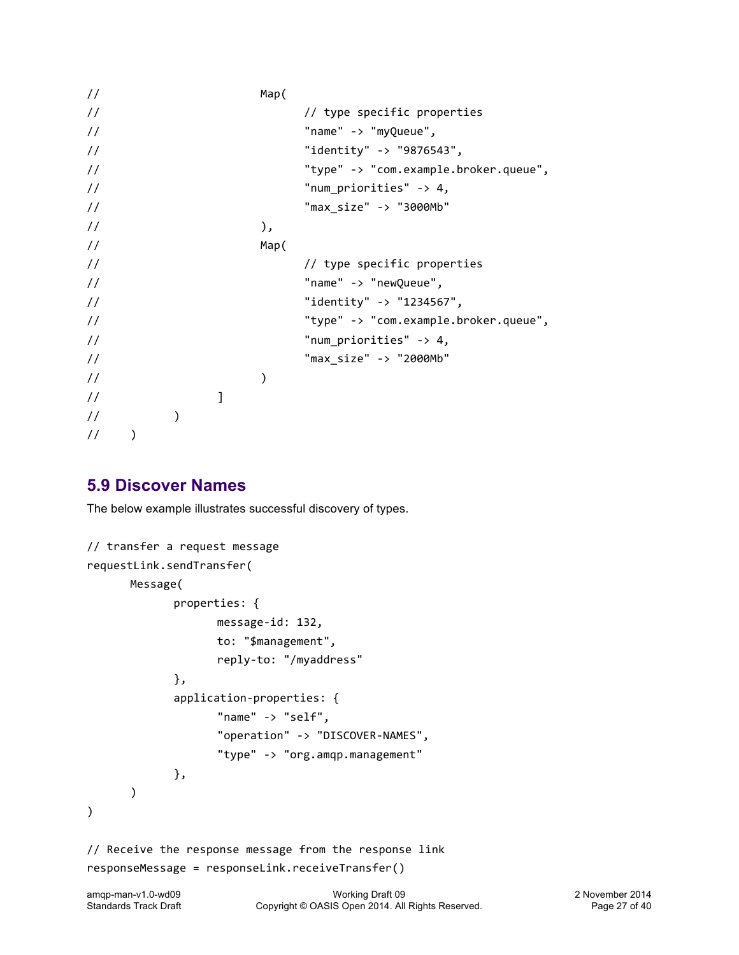```
// Map(
// type specific properties
// "name"	->	"myQueue",
// "identity"	->	"9876543",
// "type"	->	"com.example.broker.queue",	
\frac{1}{2} \frac{1}{2} \frac{1}{2} \frac{1}{2} \frac{1}{2} \frac{1}{2} \frac{1}{2} \frac{1}{2} \frac{1}{2} \frac{1}{2} \frac{1}{2} \frac{1}{2} \frac{1}{2} \frac{1}{2} \frac{1}{2} \frac{1}{2} \frac{1}{2} \frac{1}{2} \frac{1}{2} \frac{1}{2} \frac{1}{2} \frac{1}{2} // "max_size"	->	"3000Mb"			 				
\frac{1}{2} ),
// Map(
// type specific properties
// "name"	->	"newQueue",
\frac{1}{2} \frac{1}{2} \frac{1}{2} \frac{1}{2} \frac{1}{2} \frac{1}{2} \frac{1}{2} \frac{1}{2} \frac{1}{2} \frac{1}{2} \frac{1}{2} \frac{1}{2} \frac{1}{2} \frac{1}{2} \frac{1}{2} \frac{1}{2} \frac{1}{2} \frac{1}{2} \frac{1}{2} \frac{1}{2} \frac{1}{2} \frac{1}{2} // "type"	->	"com.example.broker.queue",
\frac{1}{2} \frac{1}{2} \frac{1}{2} \frac{1}{2} \frac{1}{2} \frac{1}{2} \frac{1}{2} \frac{1}{2} \frac{1}{2} \frac{1}{2} \frac{1}{2} \frac{1}{2} \frac{1}{2} \frac{1}{2} \frac{1}{2} \frac{1}{2} \frac{1}{2} \frac{1}{2} \frac{1}{2} \frac{1}{2} \frac{1}{2} \frac{1}{2} // "max_size"	->	"2000Mb"			 				
\frac{1}{2} )
\frac{1}{2} )
\frac{1}{2} )
\frac{1}{2} )
```
## **5.9 Discover Names**

The below example illustrates successful discovery of types.

```
// transfer a request message
requestLink.sendTransfer(
      Message(
             properties: {
                    message-id:	132,
                    to:	"$management",
                    reply-to:	"/myaddress"	
             },
             application-properties: {
                    "name" -> "self",
                    "operation"	->	"DISCOVER-NAMES",
                    "type"	->	"org.amqp.management"	
             },
      		 )
)
// Receive the response message from the response link
responseMessage	=	responseLink.receiveTransfer()
```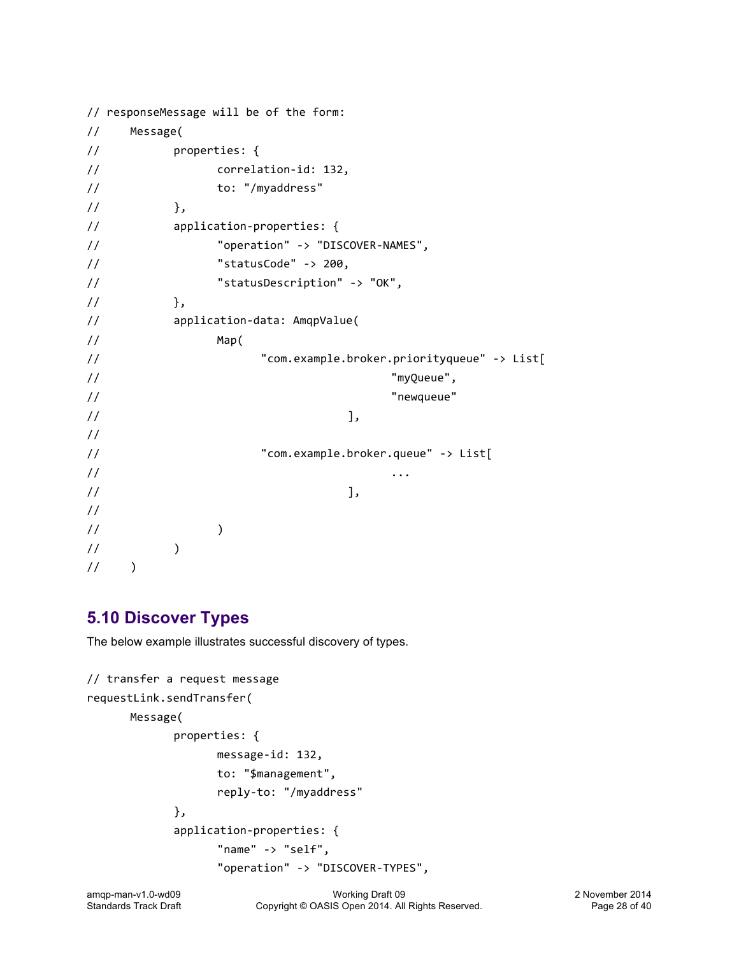```
// responseMessage will be of the form:
// Message(
// properties: {
// correlation-id: 132,
// to:	"/myaddress"	
\frac{1}{3},
// application-properties:	{
// \blacksquare "operation" -> "DISCOVER-NAMES",
\frac{1}{2} \frac{1}{200} \frac{1}{200} \frac{1}{200}// The "statusDescription" -> "OK",
\frac{1}{1} , \frac{1}{1}// application-data:	AmqpValue(
// Map(
// \blacksquare "com.example.broker.priorityqueue" -> List[
// "myQueue",
// "newqueue"
\frac{1}{2}, \frac{1}{2}, \frac{1}{2}, \frac{1}{2}, \frac{1}{2}, \frac{1}{2}, \frac{1}{2}, \frac{1}{2}, \frac{1}{2}, \frac{1}{2}, \frac{1}{2}, \frac{1}{2}, \frac{1}{2}, \frac{1}{2}, \frac{1}{2}, \frac{1}{2}, \frac{1}{2}, \frac{1}{2}, \frac{1}{2}, \frac{1}{2}, //
// Trem.example.broker.queue" -> List[
// ...
\frac{1}{2}, \frac{1}{2}, \frac{1}{2}, \frac{1}{2}, \frac{1}{2}, \frac{1}{2}, \frac{1}{2}, \frac{1}{2}, \frac{1}{2}, \frac{1}{2}, \frac{1}{2}, \frac{1}{2}, \frac{1}{2}, \frac{1}{2}, \frac{1}{2}, \frac{1}{2}, \frac{1}{2}, \frac{1}{2}, \frac{1}{2}, \frac{1}{2}, //
\frac{1}{2} )
\frac{1}{2} )
\frac{1}{2} )
```
## **5.10 Discover Types**

The below example illustrates successful discovery of types.

```
// transfer a request message
requestLink.sendTransfer(
      Message(
             properties: {
                    message-id:	132,
                    to:	"$management",
                    reply-to:	"/myaddress"	
             },
             application-properties: {
                    "name" -> "self",
                    "operation"	->	"DISCOVER-TYPES",
```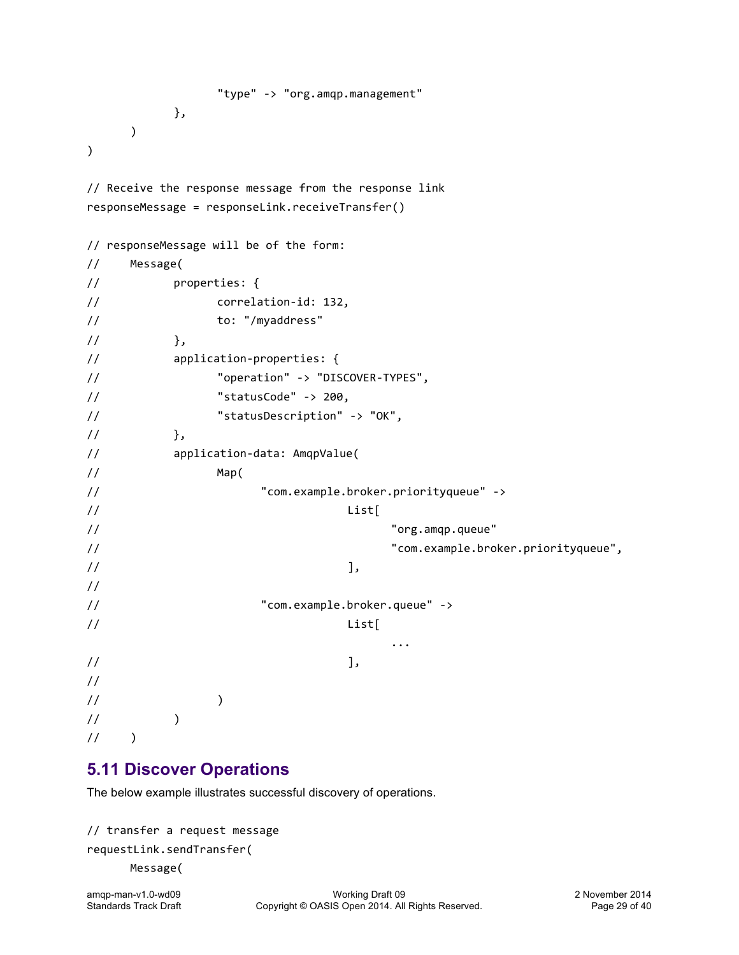```
"type"	->	"org.amqp.management"	
               },
       		 )
)
// Receive the response message from the response link
responseMessage	=	responseLink.receiveTransfer()
// responseMessage will be of the form:
// Message(
// properties: {
// correlation-id:	132,
// to:	"/myaddress"	
\frac{1}{2}, \frac{1}{2}, \frac{1}{2}// application-properties:	{
// \blacksquare "operation" -> "DISCOVER-TYPES",
\frac{1}{2} \frac{1}{200} \frac{1}{200} \frac{1}{200}// The "statusDescription" -> "OK",
\frac{1}{1} \frac{1}{1}, \frac{1}{1}// application-data:	AmqpValue(
// Map(
// "com.example.broker.priorityqueue"	->	
// List[
// "org.amqp.queue"
// "com.example.broker.priorityqueue",
\frac{1}{2}, \frac{1}{2}, \frac{1}{2}, \frac{1}{2}, \frac{1}{2}, \frac{1}{2}, \frac{1}{2}, \frac{1}{2}, \frac{1}{2}, \frac{1}{2}, \frac{1}{2}, \frac{1}{2}, \frac{1}{2}, \frac{1}{2}, \frac{1}{2}, \frac{1}{2}, \frac{1}{2}, \frac{1}{2}, \frac{1}{2}, \frac{1}{2}, //
// "com.example.broker.queue"	->	
// List[
                                                       ...
\frac{1}{2}, \frac{1}{2}, \frac{1}{2}, \frac{1}{2}, \frac{1}{2}, \frac{1}{2}, \frac{1}{2}, \frac{1}{2}, \frac{1}{2}, \frac{1}{2}, \frac{1}{2}, \frac{1}{2}, \frac{1}{2}, \frac{1}{2}, \frac{1}{2}, \frac{1}{2}, \frac{1}{2}, \frac{1}{2}, \frac{1}{2}, \frac{1}{2}, //
\frac{1}{2} )
\frac{1}{2} )
\frac{1}{2} )
```
## **5.11 Discover Operations**

The below example illustrates successful discovery of operations.

```
// transfer a request message
requestLink.sendTransfer(
      Message(
```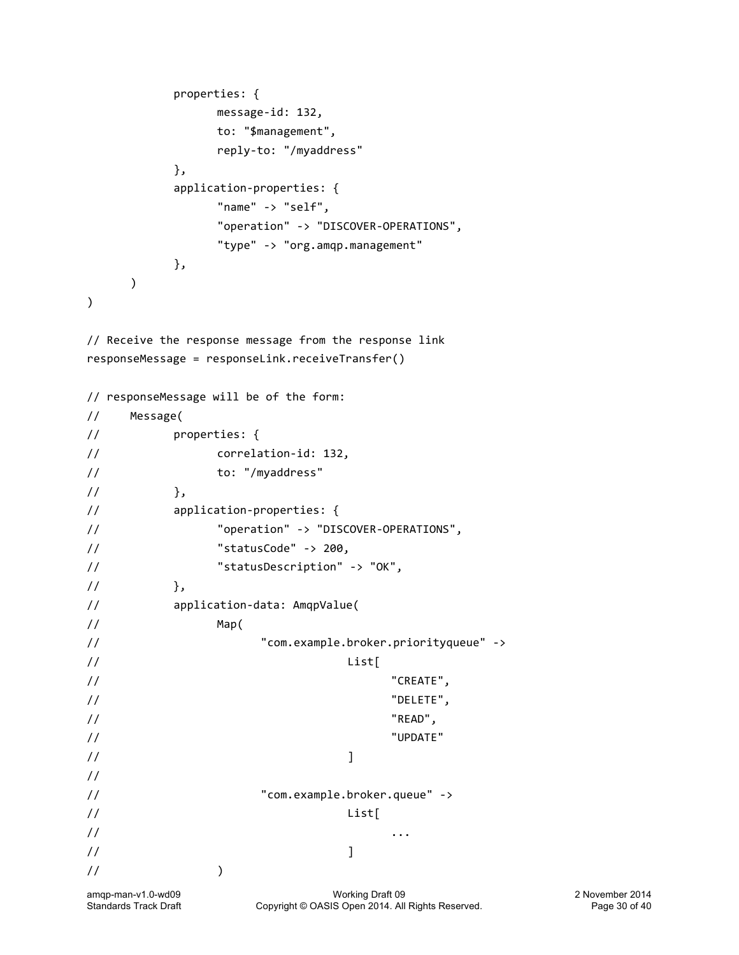```
properties: {
              message-id:	132,
              to:	"$management",
              reply-to:	"/myaddress"	
         },
         application-properties: {
              "name"	->	"self",
              "operation"	->	"DISCOVER-OPERATIONS",
              "type"	->	"org.amqp.management"	
         },
    		 )
)
// Receive the response message from the response link
responseMessage	=	responseLink.receiveTransfer()
// responseMessage will be of the form:
// Message(
// properties: {
// correlation-id:	132,
// to:	"/myaddress"	
\frac{1}{3},
// application-properties:	{
// \blacksquare "operation" -> "DISCOVER-OPERATIONS",
\frac{1}{2} \frac{1}{200} \frac{1}{200} \frac{1}{200}// \blacksquare "statusDescription" -> "OK",
\frac{1}{1} },
// application-data:	AmqpValue(
// Map(
// "com.example.broker.priorityqueue"	->	
// List[
// "CREATE",
// "DELETE",
// "READ",
// "UPDATE"
\frac{1}{2} ) is a set of \frac{1}{2} . The set of \frac{1}{2}//
// "com.example.broker.queue"	->	
// List[
// ...
\frac{1}{2} ) is a set of \frac{1}{2} . The set of \frac{1}{2}\frac{1}{2} )
```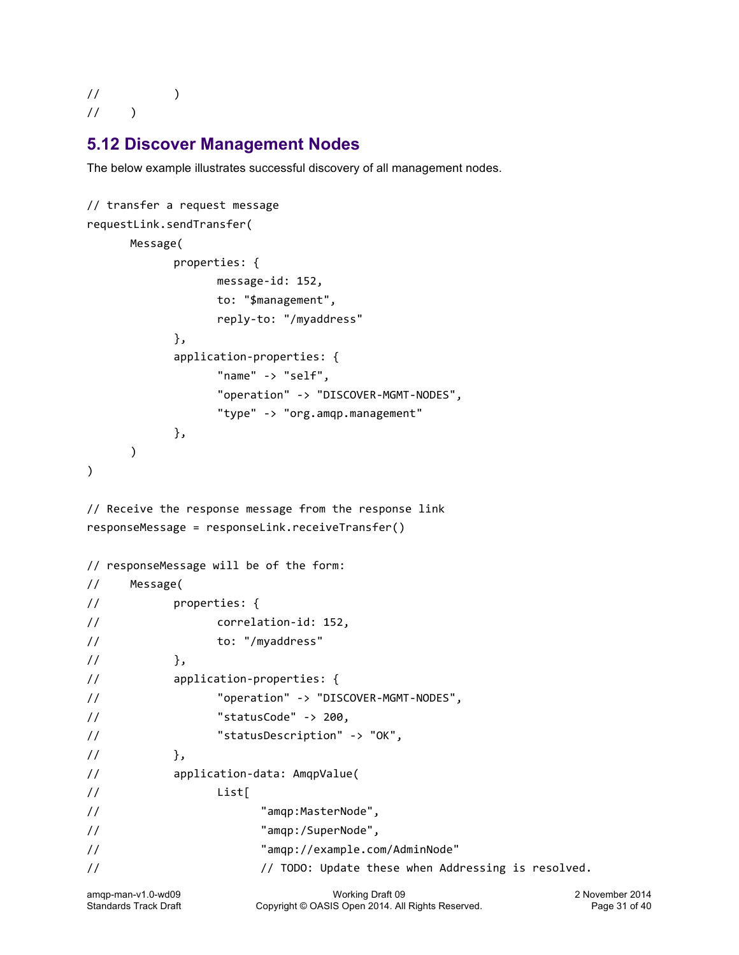## $\frac{1}{2}$  )  $1/$  )

## **5.12 Discover Management Nodes**

The below example illustrates successful discovery of all management nodes.

```
// transfer a request message
requestLink.sendTransfer(
     Message(
          properties: {
                message-id:	152,
                to:	"$management",
                reply-to:	"/myaddress"	
          },
          application-properties: {
                "name"	->	"self",
                "operation"	->	"DISCOVER-MGMT-NODES",
                "type" -> "org.amqp.management"
          },
     \lambda)
// Receive the response message from the response link
responseMessage	=	responseLink.receiveTransfer()
// responseMessage will be of the form:
// Message(
// properties: {
// correlation-id:	152,
// to:	"/myaddress"	
\frac{1}{3},
// application-properties: {
// \blacksquare "operation" -> "DISCOVER-MGMT-NODES",
// "statusCode"	->	200,
// \blacksquare "statusDescription" -> "OK",
\frac{1}{1} },
// application-data: AmqpValue(
// List[
// "amqp:MasterNode",
// "amqp:/SuperNode",
// "amqp://example.com/AdminNode"
// TODO: Update these when Addressing is resolved.
```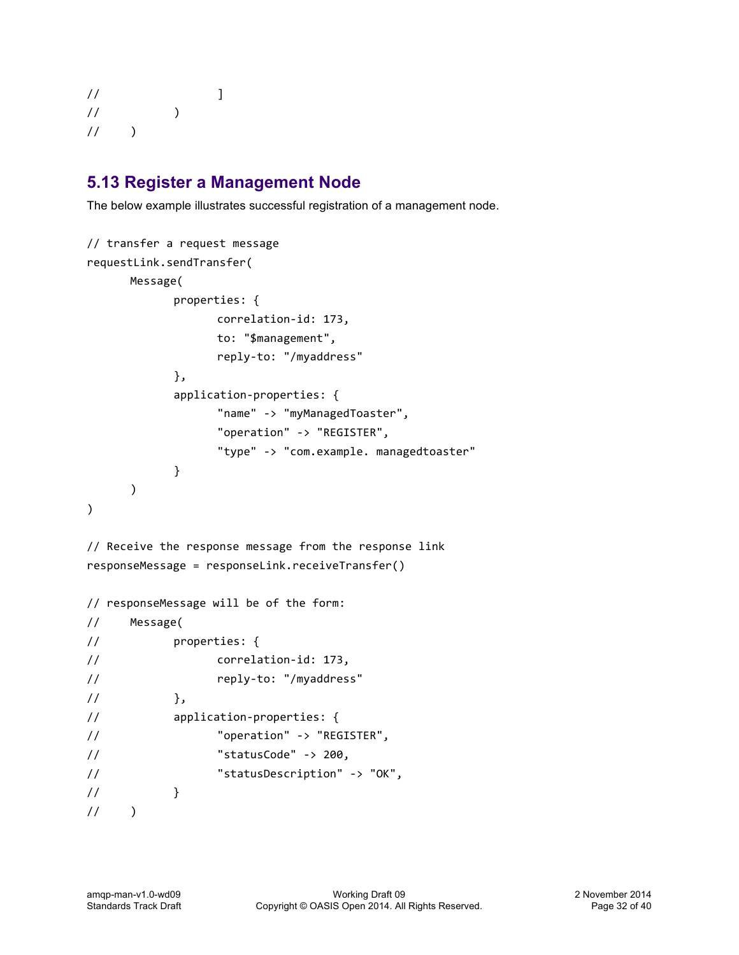```
\frac{1}{2} \frac{1}{2} \frac{1}{2} \frac{1}{2} \frac{1}{2} \frac{1}{2} \frac{1}{2} \frac{1}{2} \frac{1}{2} \frac{1}{2} \frac{1}{2} \frac{1}{2} \frac{1}{2} \frac{1}{2} \frac{1}{2} \frac{1}{2} \frac{1}{2} \frac{1}{2} \frac{1}{2} \frac{1}{2} \frac{1}{2} \frac{1}{2} \frac{1}{2} )
\frac{1}{2} )
```
## **5.13 Register a Management Node**

The below example illustrates successful registration of a management node.

```
// transfer a request message
requestLink.sendTransfer(
      Message(
            properties: {
                   correlation-id:	173,
                   to:	"$management",
                   reply-to:	"/myaddress"	
            },
            application-properties: {
                   "name"	->	"myManagedToaster",
                   "operation"	->	"REGISTER",
                   "type" -> "com.example. managedtoaster"
            }
      		 )
)
// Receive the response message from the response link
responseMessage	=	responseLink.receiveTransfer()
// responseMessage will be of the form:
// Message(
// properties: {
// correlation-id: 173,
// reply-to:	"/myaddress"	
\frac{1}{2}, \frac{1}{2}, \frac{1}{2}// application-properties: {
// \blacksquare "operation" -> "REGISTER",
\frac{1}{2} \frac{1}{200} \frac{1}{200} \frac{1}{200}// The "statusDescription" -> "OK",
// \}\frac{1}{2} )
```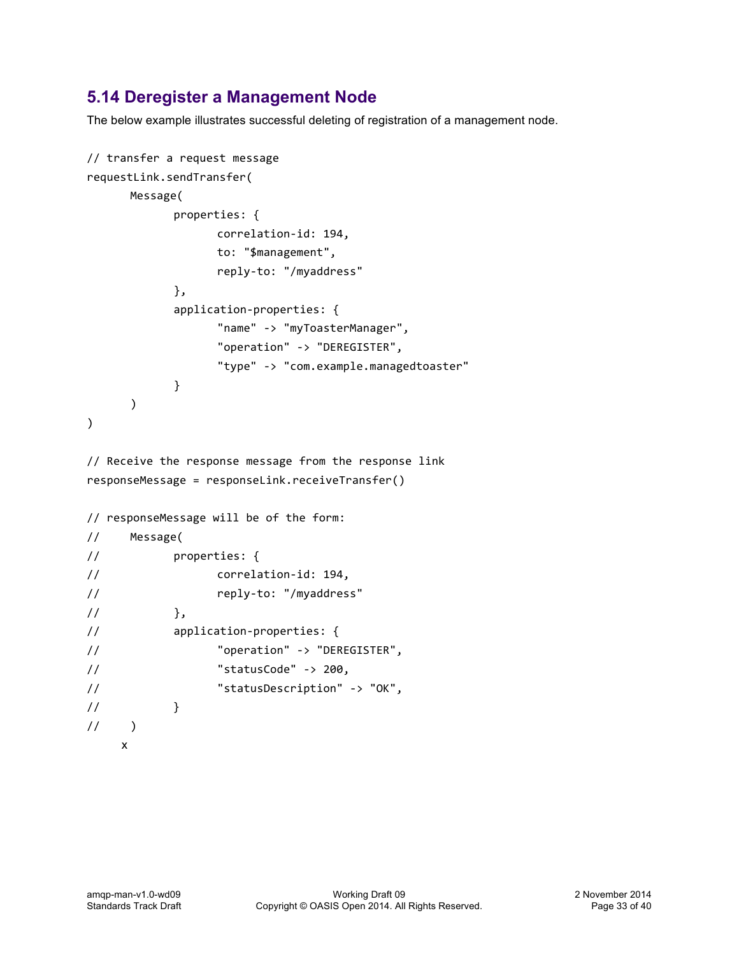## **5.14 Deregister a Management Node**

The below example illustrates successful deleting of registration of a management node.

```
// transfer a request message
requestLink.sendTransfer(
      Message(
            properties: {
                  correlation-id:	194,
                  to:	"$management",
                  reply-to:	"/myaddress"	
            },
            application-properties: {
                  "name"	->	"myToasterManager",
                  "operation"	->	"DEREGISTER",
                  "type"	->	"com.example.managedtoaster"	
            }
      		 )
)
// Receive the response message from the response link
responseMessage	=	responseLink.receiveTransfer()
// responseMessage will be of the form:
// Message(
// properties: {
// correlation-id: 194,
// reply-to:	"/myaddress"	
// \},
// application-properties: {
// \blacksquare "operation" -> "DEREGISTER",
\frac{1}{2} \frac{1}{200} \frac{1}{200} \frac{1}{200}// \blacksquare "statusDescription" -> "OK",
// \}\frac{1}{2} )
    x
```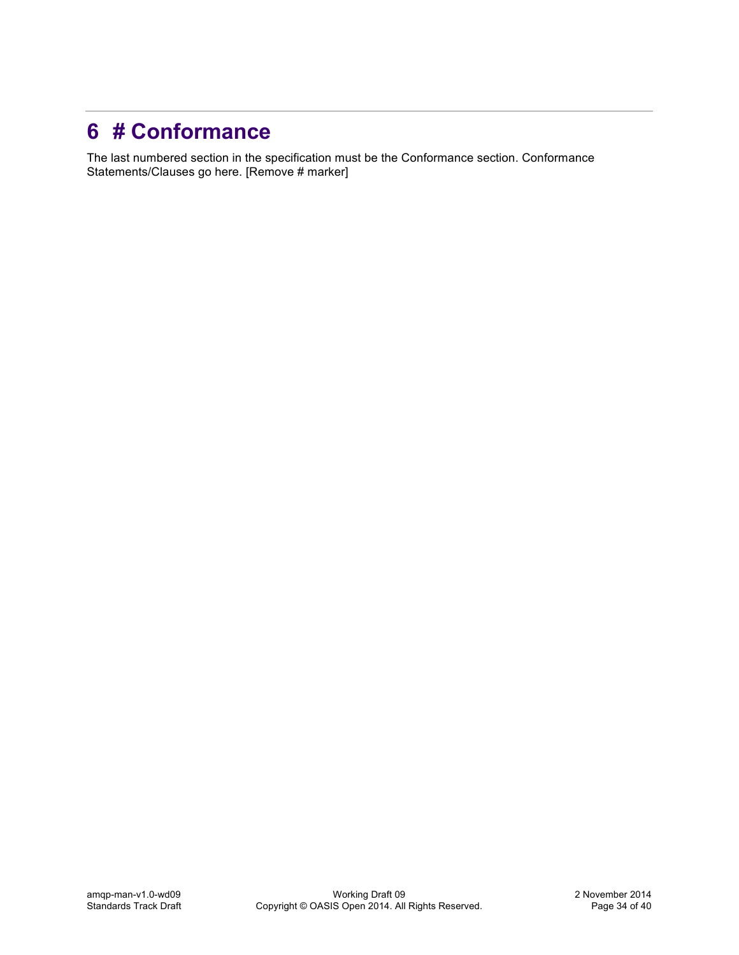# **6 # Conformance**

The last numbered section in the specification must be the Conformance section. Conformance Statements/Clauses go here. [Remove # marker]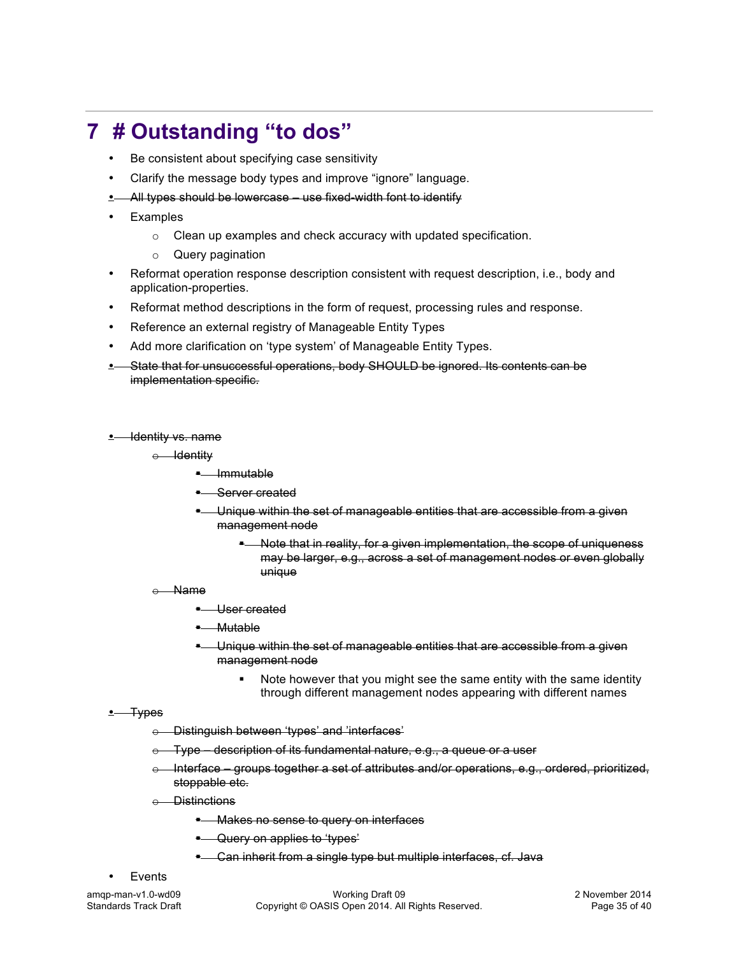# **7 # Outstanding "to dos"**

- Be consistent about specifying case sensitivity
- Clarify the message body types and improve "ignore" language.
- All types should be lowercase use fixed-width font to identify
- **Examples** 
	- o Clean up examples and check accuracy with updated specification.
	- o Query pagination
- Reformat operation response description consistent with request description, i.e., body and application-properties.
- Reformat method descriptions in the form of request, processing rules and response.
- Reference an external registry of Manageable Entity Types
- Add more clarification on 'type system' of Manageable Entity Types.
- State that for unsuccessful operations, body SHOULD be ignored. Its contents can be implementation specific.
- Identity vs. name
	- o Identity
		- § Immutable
		- **•** Server created
		- Unique within the set of manageable entities that are accessible from a given management node
			- Note that in reality, for a given implementation, the scope of uniqueness may be larger, e.g., across a set of management nodes or even globally unique
	- o Name
		- § User created
		- § Mutable
		- § Unique within the set of manageable entities that are accessible from a given management node
			- Note however that you might see the same entity with the same identity through different management nodes appearing with different names
- $\cdot$  Types
	- o Distinguish between 'types' and 'interfaces'
	- Type description of its fundamental nature, e.g., a queue or a user
	- Interface groups together a set of attributes and/or operations, e.g., ordered, prioritized, stoppable etc.
	- **Distinctions** 
		- § Makes no sense to query on interfaces
		- **E** Query on applies to 'types'
		- **E** Can inherit from a single type but multiple interfaces, cf. Java
- **Events**

amqp-man-v1.0-wd09 Working Draft 09 2 November 2014 Standards Track Draft Copyright © OASIS Open 2014. All Rights Reserved. Page 35 of 40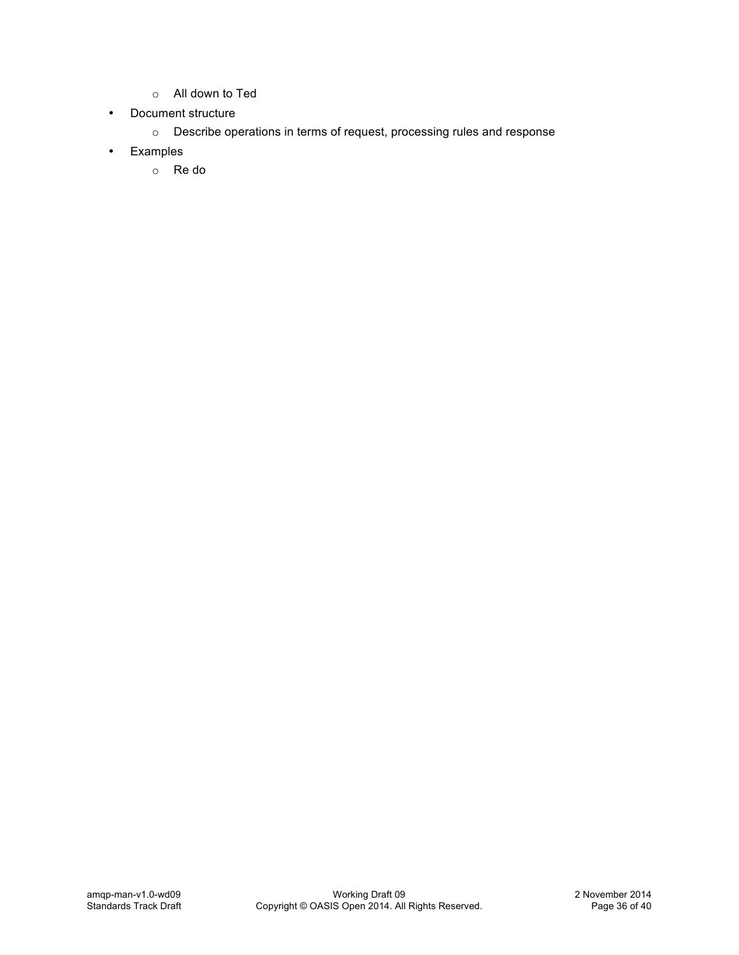- o All down to Ted
- Document structure
	- o Describe operations in terms of request, processing rules and response
- Examples
	- o Re do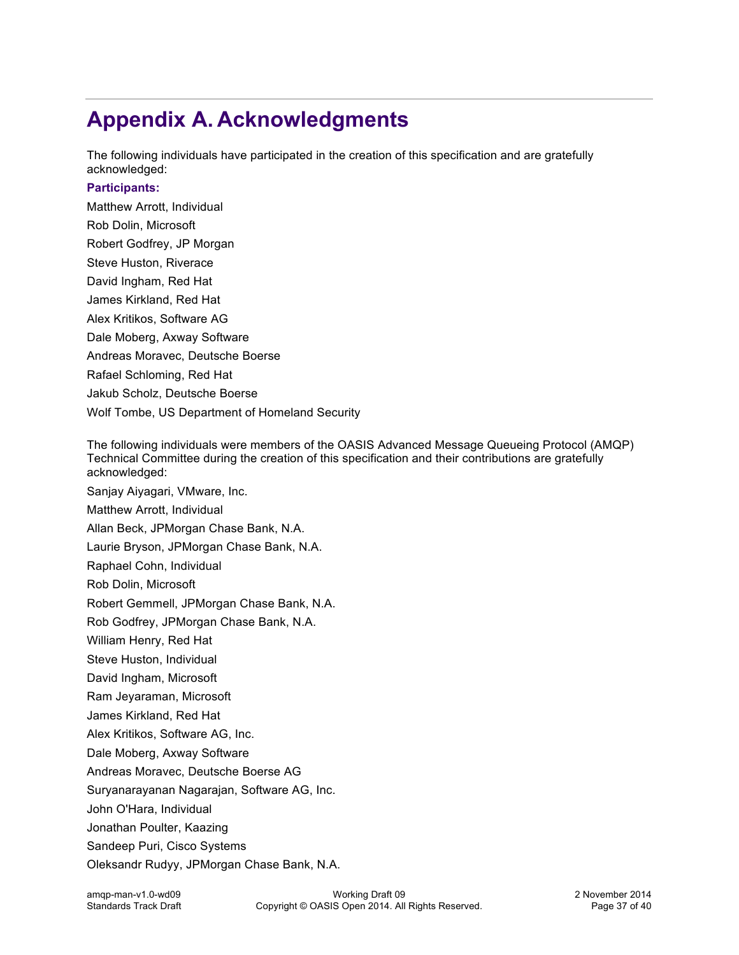# **Appendix A. Acknowledgments**

The following individuals have participated in the creation of this specification and are gratefully acknowledged:

#### **Participants:**

Matthew Arrott, Individual Rob Dolin, Microsoft Robert Godfrey, JP Morgan Steve Huston, Riverace David Ingham, Red Hat James Kirkland, Red Hat Alex Kritikos, Software AG Dale Moberg, Axway Software Andreas Moravec, Deutsche Boerse Rafael Schloming, Red Hat Jakub Scholz, Deutsche Boerse Wolf Tombe, US Department of Homeland Security

The following individuals were members of the OASIS Advanced Message Queueing Protocol (AMQP) Technical Committee during the creation of this specification and their contributions are gratefully acknowledged:

Sanjay Aiyagari, VMware, Inc.

Matthew Arrott, Individual

Allan Beck, JPMorgan Chase Bank, N.A.

Laurie Bryson, JPMorgan Chase Bank, N.A.

Raphael Cohn, Individual

Rob Dolin, Microsoft

Robert Gemmell, JPMorgan Chase Bank, N.A.

Rob Godfrey, JPMorgan Chase Bank, N.A.

William Henry, Red Hat

Steve Huston, Individual

David Ingham, Microsoft

Ram Jeyaraman, Microsoft

James Kirkland, Red Hat

Alex Kritikos, Software AG, Inc.

Dale Moberg, Axway Software

Andreas Moravec, Deutsche Boerse AG

Suryanarayanan Nagarajan, Software AG, Inc.

John O'Hara, Individual

Jonathan Poulter, Kaazing

Sandeep Puri, Cisco Systems

Oleksandr Rudyy, JPMorgan Chase Bank, N.A.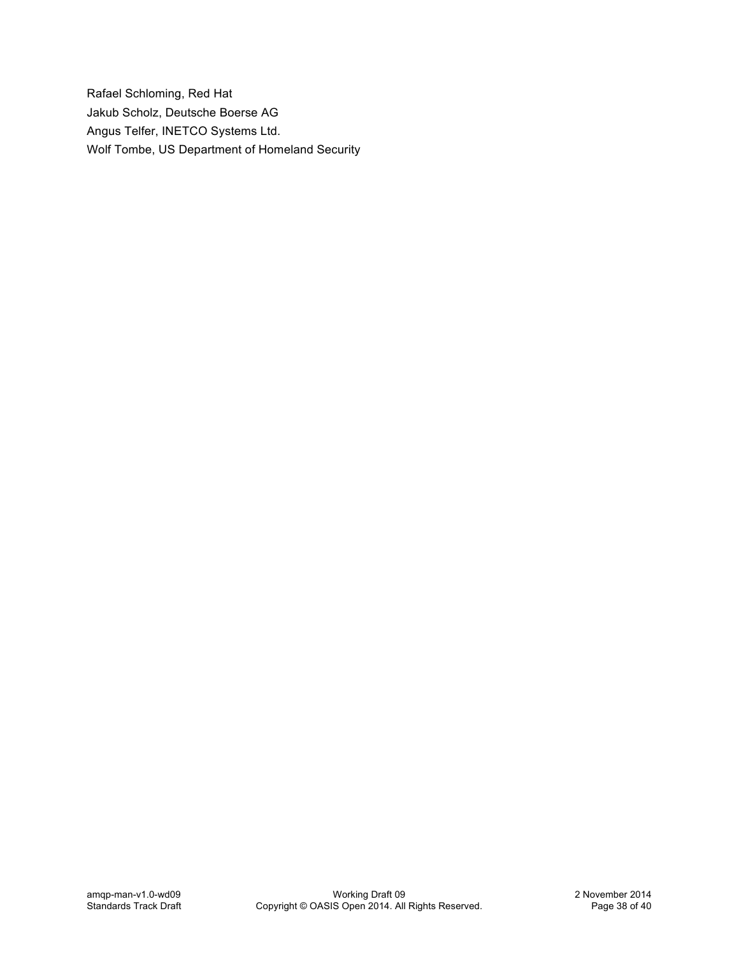Rafael Schloming, Red Hat Jakub Scholz, Deutsche Boerse AG Angus Telfer, INETCO Systems Ltd. Wolf Tombe, US Department of Homeland Security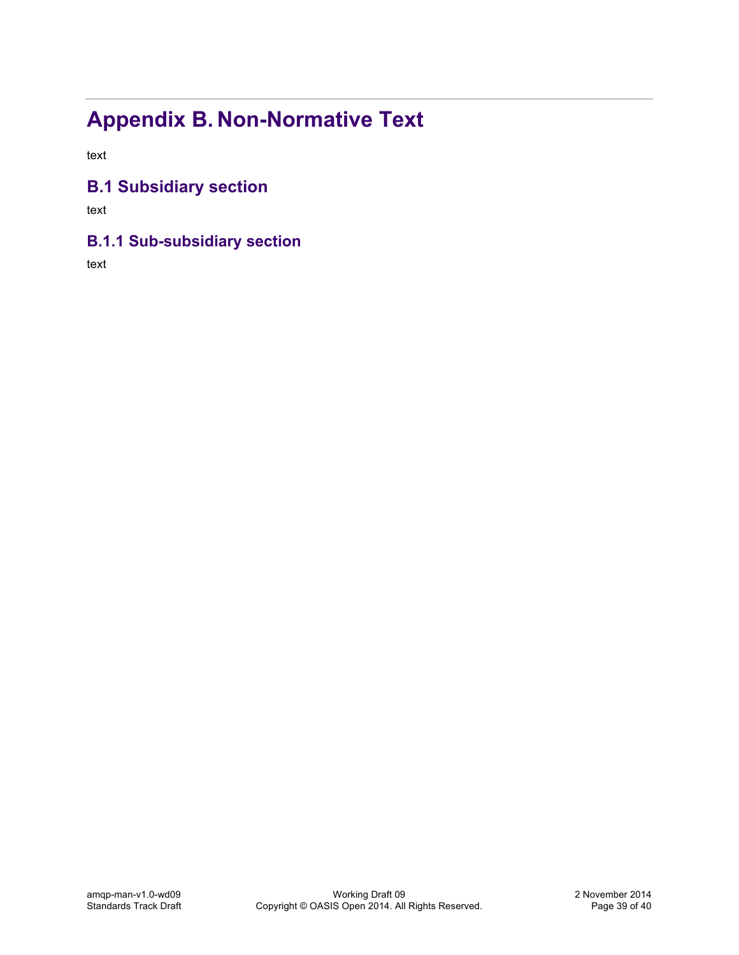# **Appendix B. Non-Normative Text**

text

## **B.1 Subsidiary section**

text

## **B.1.1 Sub-subsidiary section**

text